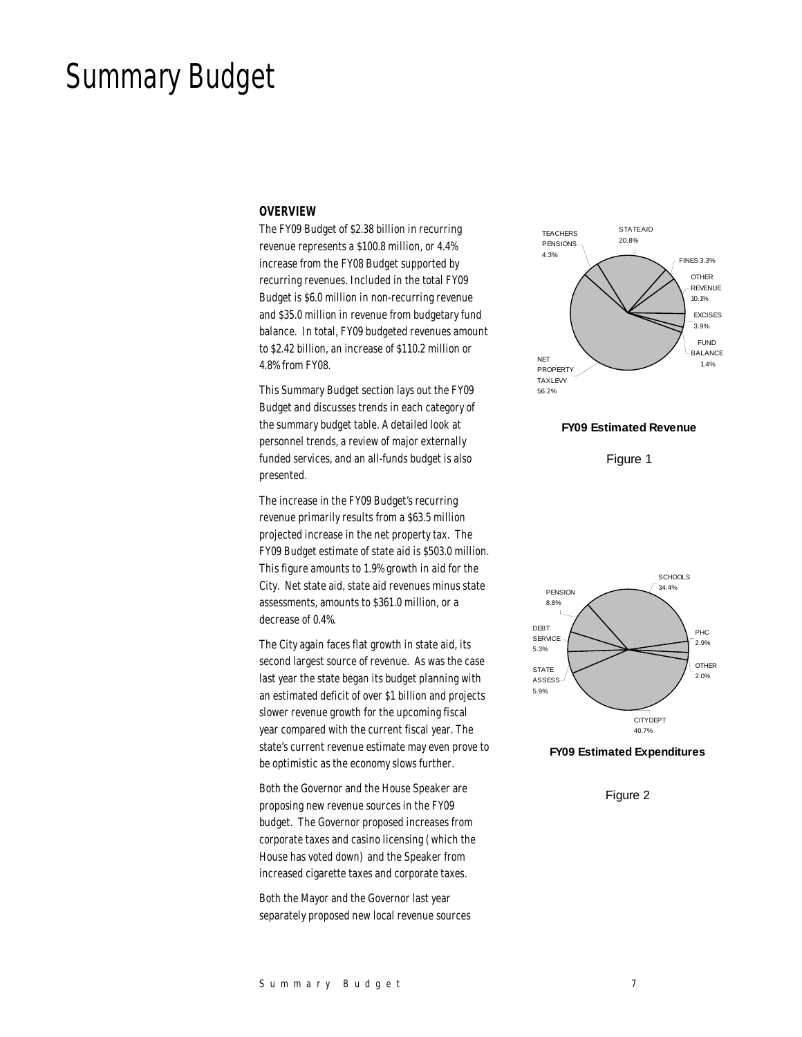# Summary Budget

#### *OVERVIEW*

The FY09 Budget of \$2.38 billion in recurring revenue represents a \$100.8 million, or 4.4% increase from the FY08 Budget supported by recurring revenues. Included in the total FY09 Budget is \$6.0 million in non-recurring revenue and \$35.0 million in revenue from budgetary fund balance. In total, FY09 budgeted revenues amount to \$2.42 billion, an increase of \$110.2 million or 4.8% from FY08.

This Summary Budget section lays out the FY09 Budget and discusses trends in each category of the summary budget table. A detailed look at personnel trends, a review of major externally funded services, and an all-funds budget is also presented.

The increase in the FY09 Budget's recurring revenue primarily results from a \$63.5 million projected increase in the net property tax. The FY09 Budget estimate of state aid is \$503.0 million. This figure amounts to 1.9% growth in aid for the City. Net state aid, state aid revenues minus state assessments, amounts to \$361.0 million, or a decrease of 0.4%.

The City again faces flat growth in state aid, its second largest source of revenue. As was the case last year the state began its budget planning with an estimated deficit of over \$1 billion and projects slower revenue growth for the upcoming fiscal year compared with the current fiscal year. The state's current revenue estimate may even prove to be optimistic as the economy slows further.

Both the Governor and the House Speaker are proposing new revenue sources in the FY09 budget. The Governor proposed increases from corporate taxes and casino licensing (which the House has voted down) and the Speaker from increased cigarette taxes and corporate taxes.

Both the Mayor and the Governor last year separately proposed new local revenue sources



#### **FY09 Estimated Revenue**

Figure 1



#### **FY09 Estimated Expenditures**

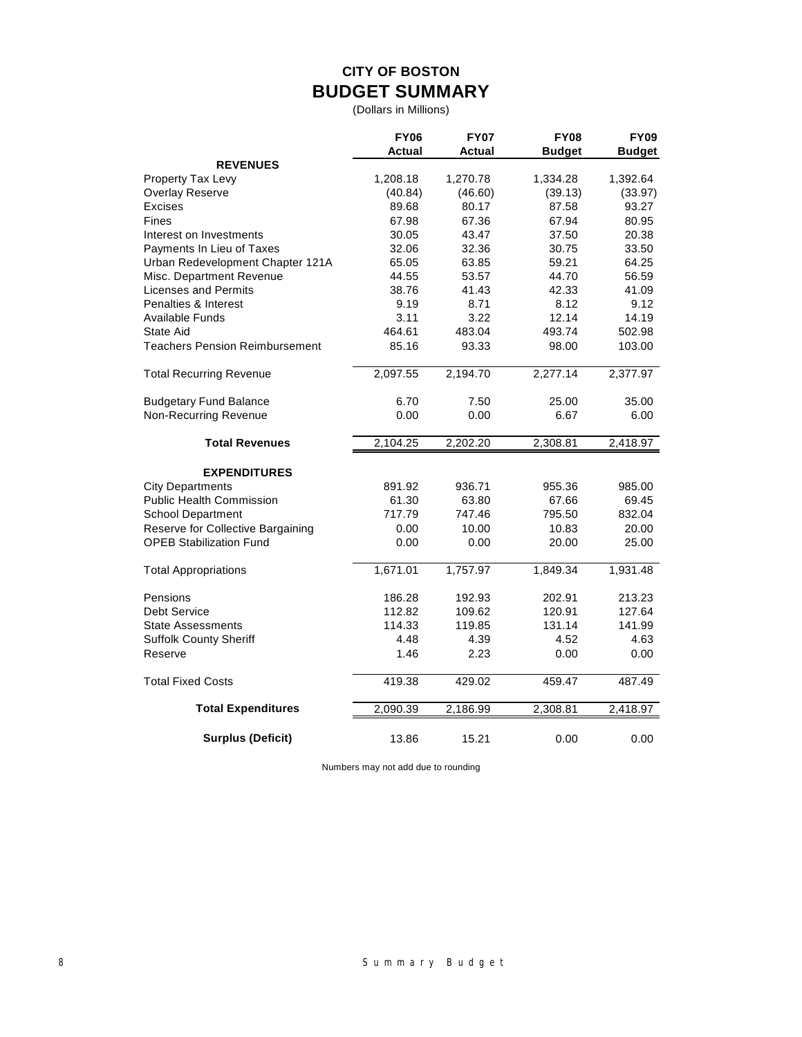## **CITY OF BOSTON BUDGET SUMMARY**

(Dollars in Millions)

|                                   | <b>FY06</b><br>Actual | <b>FY07</b><br>Actual | <b>FY08</b><br><b>Budget</b> | <b>FY09</b><br><b>Budget</b> |
|-----------------------------------|-----------------------|-----------------------|------------------------------|------------------------------|
| <b>REVENUES</b>                   |                       |                       |                              |                              |
| Property Tax Levy                 | 1,208.18              | 1,270.78              | 1,334.28                     | 1,392.64                     |
| <b>Overlay Reserve</b>            | (40.84)               | (46.60)               | (39.13)                      | (33.97)                      |
| Excises                           | 89.68                 | 80.17                 | 87.58                        | 93.27                        |
| <b>Fines</b>                      | 67.98                 | 67.36                 | 67.94                        | 80.95                        |
| Interest on Investments           | 30.05                 | 43.47                 | 37.50                        | 20.38                        |
| Payments In Lieu of Taxes         | 32.06                 | 32.36                 | 30.75                        | 33.50                        |
| Urban Redevelopment Chapter 121A  | 65.05                 | 63.85                 | 59.21                        | 64.25                        |
| Misc. Department Revenue          | 44.55                 | 53.57                 | 44.70                        | 56.59                        |
| <b>Licenses and Permits</b>       | 38.76                 | 41.43                 | 42.33                        | 41.09                        |
| Penalties & Interest              | 9.19                  | 8.71                  | 8.12                         | 9.12                         |
| Available Funds                   | 3.11                  | 3.22                  | 12.14                        | 14.19                        |
| State Aid                         | 464.61                | 483.04                | 493.74                       | 502.98                       |
| Teachers Pension Reimbursement    | 85.16                 | 93.33                 | 98.00                        | 103.00                       |
| <b>Total Recurring Revenue</b>    | 2,097.55              | 2,194.70              | 2,277.14                     | 2,377.97                     |
| <b>Budgetary Fund Balance</b>     | 6.70                  | 7.50                  | 25.00                        | 35.00                        |
| Non-Recurring Revenue             | 0.00                  | 0.00                  | 6.67                         | 6.00                         |
| <b>Total Revenues</b>             | 2,104.25              | 2,202.20              | 2,308.81                     | 2,418.97                     |
| <b>EXPENDITURES</b>               |                       |                       |                              |                              |
| <b>City Departments</b>           | 891.92                | 936.71                | 955.36                       | 985.00                       |
| <b>Public Health Commission</b>   | 61.30                 | 63.80                 | 67.66                        | 69.45                        |
| <b>School Department</b>          | 717.79                | 747.46                | 795.50                       | 832.04                       |
| Reserve for Collective Bargaining | 0.00                  | 10.00                 | 10.83                        | 20.00                        |
| <b>OPEB Stabilization Fund</b>    | 0.00                  | 0.00                  | 20.00                        | 25.00                        |
| <b>Total Appropriations</b>       | 1,671.01              | 1,757.97              | 1,849.34                     | 1,931.48                     |
| Pensions                          | 186.28                | 192.93                | 202.91                       | 213.23                       |
| Debt Service                      | 112.82                | 109.62                | 120.91                       | 127.64                       |
| <b>State Assessments</b>          | 114.33                | 119.85                | 131.14                       | 141.99                       |
| <b>Suffolk County Sheriff</b>     | 4.48                  | 4.39                  | 4.52                         | 4.63                         |
| Reserve                           | 1.46                  | 2.23                  | 0.00                         | 0.00                         |
| <b>Total Fixed Costs</b>          | 419.38                | 429.02                | 459.47                       | 487.49                       |
| <b>Total Expenditures</b>         | 2,090.39              | 2,186.99              | 2,308.81                     | 2,418.97                     |
| <b>Surplus (Deficit)</b>          | 13.86                 | 15.21                 | 0.00                         | 0.00                         |

Numbers may not add due to rounding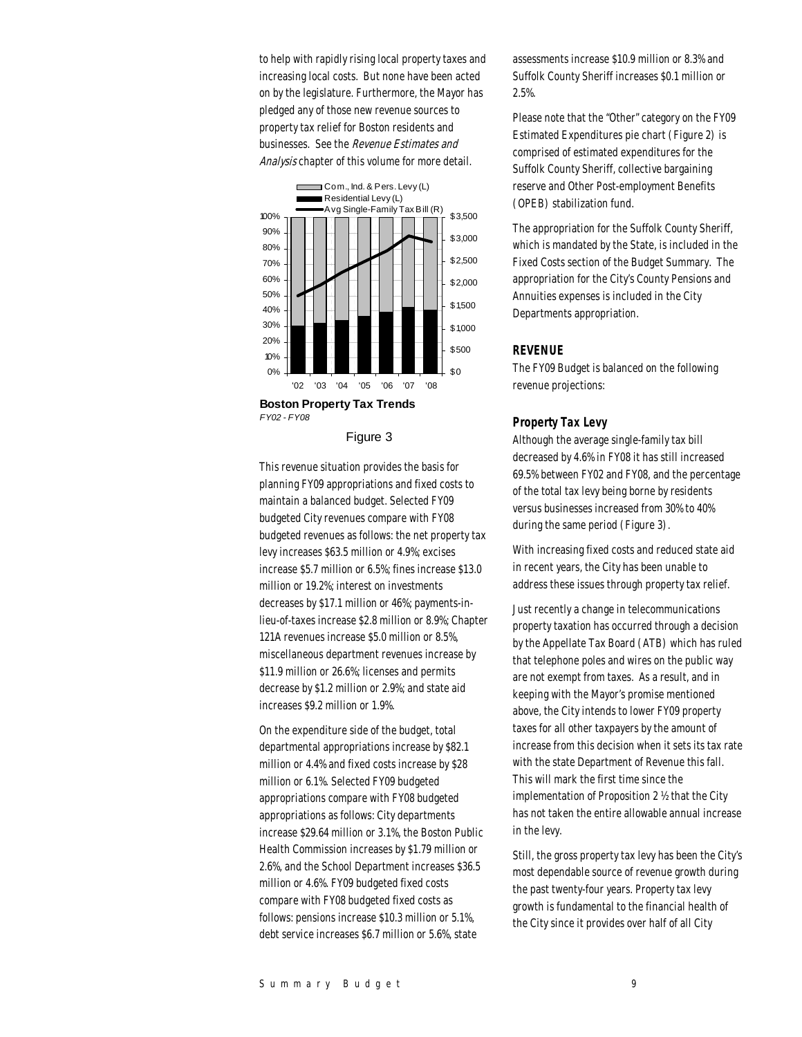to help with rapidly rising local property taxes and increasing local costs. But none have been acted on by the legislature. Furthermore, the Mayor has pledged any of those new revenue sources to property tax relief for Boston residents and businesses. See the Revenue Estimates and Analysis chapter of this volume for more detail.



Figure 3

This revenue situation provides the basis for planning FY09 appropriations and fixed costs to maintain a balanced budget. Selected FY09 budgeted City revenues compare with FY08 budgeted revenues as follows: the net property tax levy increases \$63.5 million or 4.9%; excises increase \$5.7 million or 6.5%; fines increase \$13.0 million or 19.2%; interest on investments decreases by \$17.1 million or 46%; payments-inlieu-of-taxes increase \$2.8 million or 8.9%; Chapter 121A revenues increase \$5.0 million or 8.5%, miscellaneous department revenues increase by \$11.9 million or 26.6%; licenses and permits decrease by \$1.2 million or 2.9%; and state aid increases \$9.2 million or 1.9%.

On the expenditure side of the budget, total departmental appropriations increase by \$82.1 million or 4.4% and fixed costs increase by \$28 million or 6.1%. Selected FY09 budgeted appropriations compare with FY08 budgeted appropriations as follows: City departments increase \$29.64 million or 3.1%, the Boston Public Health Commission increases by \$1.79 million or 2.6%, and the School Department increases \$36.5 million or 4.6%. FY09 budgeted fixed costs compare with FY08 budgeted fixed costs as follows: pensions increase \$10.3 million or 5.1%, debt service increases \$6.7 million or 5.6%, state

assessments increase \$10.9 million or 8.3% and Suffolk County Sheriff increases \$0.1 million or 2.5%.

Please note that the "Other" category on the FY09 Estimated Expenditures pie chart (Figure 2) is comprised of estimated expenditures for the Suffolk County Sheriff, collective bargaining reserve and Other Post-employment Benefits (OPEB) stabilization fund.

The appropriation for the Suffolk County Sheriff, which is mandated by the State, is included in the Fixed Costs section of the Budget Summary. The appropriation for the City's County Pensions and Annuities expenses is included in the City Departments appropriation.

## *REVENUE*

The FY09 Budget is balanced on the following revenue projections:

#### *Property Tax Levy*

Although the average single-family tax bill decreased by 4.6% in FY08 it has still increased 69.5% between FY02 and FY08, and the percentage of the total tax levy being borne by residents versus businesses increased from 30% to 40% during the same period (Figure 3).

With increasing fixed costs and reduced state aid in recent years, the City has been unable to address these issues through property tax relief.

Just recently a change in telecommunications property taxation has occurred through a decision by the Appellate Tax Board (ATB) which has ruled that telephone poles and wires on the public way are not exempt from taxes. As a result, and in keeping with the Mayor's promise mentioned above, the City intends to lower FY09 property taxes for all other taxpayers by the amount of increase from this decision when it sets its tax rate with the state Department of Revenue this fall. This will mark the first time since the implementation of Proposition 2 ½ that the City has not taken the entire allowable annual increase in the levy.

Still, the gross property tax levy has been the City's most dependable source of revenue growth during the past twenty-four years. Property tax levy growth is fundamental to the financial health of the City since it provides over half of all City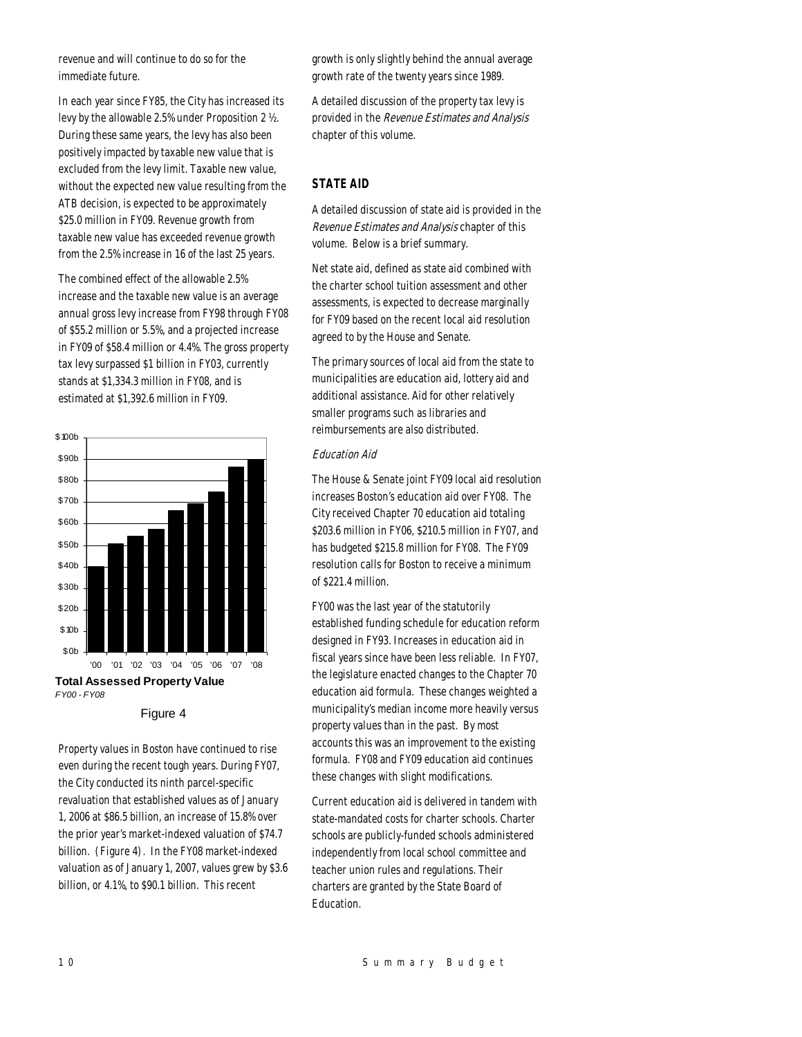revenue and will continue to do so for the immediate future.

In each year since FY85, the City has increased its levy by the allowable 2.5% under Proposition 2 ½. During these same years, the levy has also been positively impacted by taxable new value that is excluded from the levy limit. Taxable new value, without the expected new value resulting from the ATB decision, is expected to be approximately \$25.0 million in FY09. Revenue growth from taxable new value has exceeded revenue growth from the 2.5% increase in 16 of the last 25 years.

The combined effect of the allowable 2.5% increase and the taxable new value is an average annual gross levy increase from FY98 through FY08 of \$55.2 million or 5.5%, and a projected increase in FY09 of \$58.4 million or 4.4%. The gross property tax levy surpassed \$1 billion in FY03, currently stands at \$1,334.3 million in FY08, and is estimated at \$1,392.6 million in FY09.



Figure 4

Property values in Boston have continued to rise even during the recent tough years. During FY07, the City conducted its ninth parcel-specific revaluation that established values as of January 1, 2006 at \$86.5 billion, an increase of 15.8% over the prior year's market-indexed valuation of \$74.7 billion. (Figure 4). In the FY08 market-indexed valuation as of January 1, 2007, values grew by \$3.6 billion, or 4.1%, to \$90.1 billion. This recent

growth is only slightly behind the annual average growth rate of the twenty years since 1989.

A detailed discussion of the property tax levy is provided in the Revenue Estimates and Analysis chapter of this volume.

## *STATE AID*

A detailed discussion of state aid is provided in the Revenue Estimates and Analysis chapter of this volume. Below is a brief summary.

Net state aid, defined as state aid combined with the charter school tuition assessment and other assessments, is expected to decrease marginally for FY09 based on the recent local aid resolution agreed to by the House and Senate.

The primary sources of local aid from the state to municipalities are education aid, lottery aid and additional assistance. Aid for other relatively smaller programs such as libraries and reimbursements are also distributed.

## Education Aid

The House & Senate joint FY09 local aid resolution increases Boston's education aid over FY08. The City received Chapter 70 education aid totaling \$203.6 million in FY06, \$210.5 million in FY07, and has budgeted \$215.8 million for FY08. The FY09 resolution calls for Boston to receive a minimum of \$221.4 million.

FY00 was the last year of the statutorily established funding schedule for education reform designed in FY93. Increases in education aid in fiscal years since have been less reliable. In FY07, the legislature enacted changes to the Chapter 70 education aid formula. These changes weighted a municipality's median income more heavily versus property values than in the past. By most accounts this was an improvement to the existing formula. FY08 and FY09 education aid continues these changes with slight modifications.

Current education aid is delivered in tandem with state-mandated costs for charter schools. Charter schools are publicly-funded schools administered independently from local school committee and teacher union rules and regulations. Their charters are granted by the State Board of Education.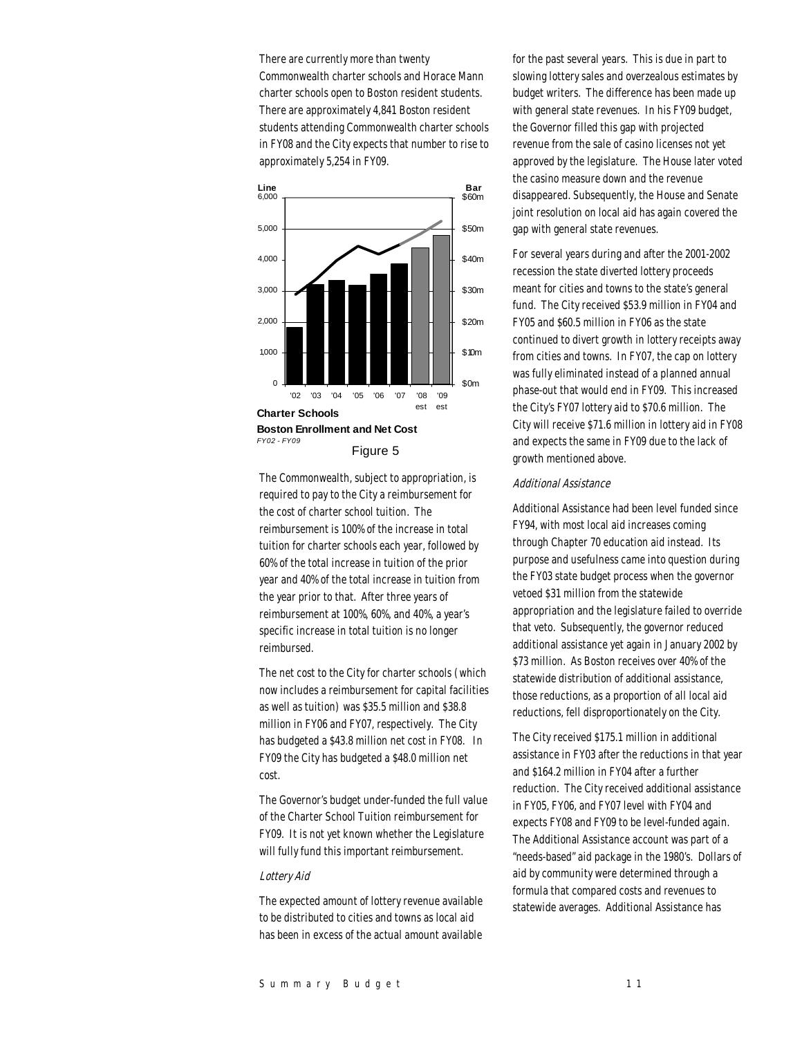There are currently more than twenty Commonwealth charter schools and Horace Mann charter schools open to Boston resident students. There are approximately 4,841 Boston resident students attending Commonwealth charter schools in FY08 and the City expects that number to rise to approximately 5,254 in FY09.



The Commonwealth, subject to appropriation, is required to pay to the City a reimbursement for the cost of charter school tuition. The reimbursement is 100% of the increase in total tuition for charter schools each year, followed by 60% of the total increase in tuition of the prior year and 40% of the total increase in tuition from the year prior to that. After three years of reimbursement at 100%, 60%, and 40%, a year's specific increase in total tuition is no longer reimbursed.

The net cost to the City for charter schools (which now includes a reimbursement for capital facilities as well as tuition) was \$35.5 million and \$38.8 million in FY06 and FY07, respectively. The City has budgeted a \$43.8 million net cost in FY08. In FY09 the City has budgeted a \$48.0 million net cost.

The Governor's budget under-funded the full value of the Charter School Tuition reimbursement for FY09. It is not yet known whether the Legislature will fully fund this important reimbursement.

#### Lottery Aid

The expected amount of lottery revenue available to be distributed to cities and towns as local aid has been in excess of the actual amount available

for the past several years. This is due in part to slowing lottery sales and overzealous estimates by budget writers. The difference has been made up with general state revenues. In his FY09 budget, the Governor filled this gap with projected revenue from the sale of casino licenses not yet approved by the legislature. The House later voted the casino measure down and the revenue disappeared. Subsequently, the House and Senate joint resolution on local aid has again covered the gap with general state revenues.

For several years during and after the 2001-2002 recession the state diverted lottery proceeds meant for cities and towns to the state's general fund. The City received \$53.9 million in FY04 and FY05 and \$60.5 million in FY06 as the state continued to divert growth in lottery receipts away from cities and towns. In FY07, the cap on lottery was fully eliminated instead of a planned annual phase-out that would end in FY09. This increased the City's FY07 lottery aid to \$70.6 million. The City will receive \$71.6 million in lottery aid in FY08 and expects the same in FY09 due to the lack of growth mentioned above.

#### Additional Assistance

Additional Assistance had been level funded since FY94, with most local aid increases coming through Chapter 70 education aid instead. Its purpose and usefulness came into question during the FY03 state budget process when the governor vetoed \$31 million from the statewide appropriation and the legislature failed to override that veto. Subsequently, the governor reduced additional assistance yet again in January 2002 by \$73 million. As Boston receives over 40% of the statewide distribution of additional assistance, those reductions, as a proportion of all local aid reductions, fell disproportionately on the City.

The City received \$175.1 million in additional assistance in FY03 after the reductions in that year and \$164.2 million in FY04 after a further reduction. The City received additional assistance in FY05, FY06, and FY07 level with FY04 and expects FY08 and FY09 to be level-funded again. The Additional Assistance account was part of a "needs-based" aid package in the 1980's. Dollars of aid by community were determined through a formula that compared costs and revenues to statewide averages. Additional Assistance has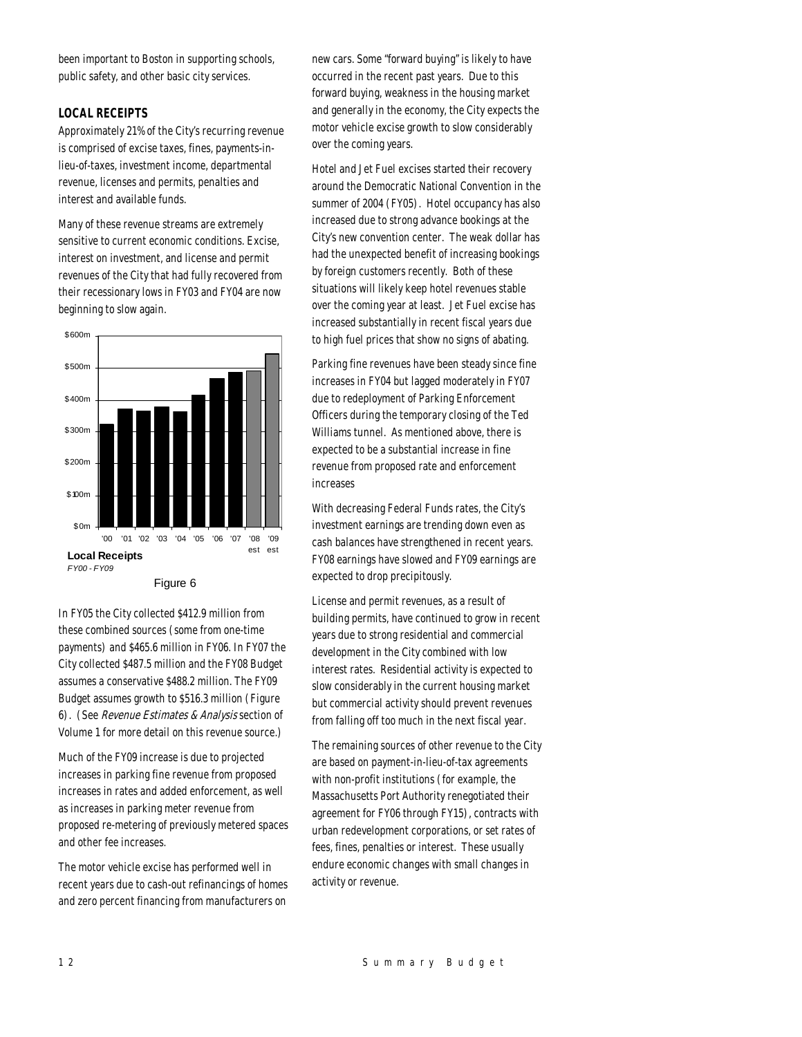been important to Boston in supporting schools, public safety, and other basic city services.

## *LOCAL RECEIPTS*

Approximately 21% of the City's recurring revenue is comprised of excise taxes, fines, payments-inlieu-of-taxes, investment income, departmental revenue, licenses and permits, penalties and interest and available funds.

Many of these revenue streams are extremely sensitive to current economic conditions. Excise, interest on investment, and license and permit revenues of the City that had fully recovered from their recessionary lows in FY03 and FY04 are now beginning to slow again.



In FY05 the City collected \$412.9 million from these combined sources (some from one-time payments) and \$465.6 million in FY06. In FY07 the City collected \$487.5 million and the FY08 Budget assumes a conservative \$488.2 million. The FY09 Budget assumes growth to \$516.3 million (Figure 6). (See Revenue Estimates & Analysis section of Volume 1 for more detail on this revenue source.)

Much of the FY09 increase is due to projected increases in parking fine revenue from proposed increases in rates and added enforcement, as well as increases in parking meter revenue from proposed re-metering of previously metered spaces and other fee increases.

The motor vehicle excise has performed well in recent years due to cash-out refinancings of homes and zero percent financing from manufacturers on

new cars. Some "forward buying" is likely to have occurred in the recent past years. Due to this forward buying, weakness in the housing market and generally in the economy, the City expects the motor vehicle excise growth to slow considerably over the coming years.

Hotel and Jet Fuel excises started their recovery around the Democratic National Convention in the summer of 2004 (FY05). Hotel occupancy has also increased due to strong advance bookings at the City's new convention center. The weak dollar has had the unexpected benefit of increasing bookings by foreign customers recently. Both of these situations will likely keep hotel revenues stable over the coming year at least. Jet Fuel excise has increased substantially in recent fiscal years due to high fuel prices that show no signs of abating.

Parking fine revenues have been steady since fine increases in FY04 but lagged moderately in FY07 due to redeployment of Parking Enforcement Officers during the temporary closing of the Ted Williams tunnel. As mentioned above, there is expected to be a substantial increase in fine revenue from proposed rate and enforcement increases

With decreasing Federal Funds rates, the City's investment earnings are trending down even as cash balances have strengthened in recent years. FY08 earnings have slowed and FY09 earnings are expected to drop precipitously.

License and permit revenues, as a result of building permits, have continued to grow in recent years due to strong residential and commercial development in the City combined with low interest rates. Residential activity is expected to slow considerably in the current housing market but commercial activity should prevent revenues from falling off too much in the next fiscal year.

The remaining sources of other revenue to the City are based on payment-in-lieu-of-tax agreements with non-profit institutions (for example, the Massachusetts Port Authority renegotiated their agreement for FY06 through FY15), contracts with urban redevelopment corporations, or set rates of fees, fines, penalties or interest. These usually endure economic changes with small changes in activity or revenue.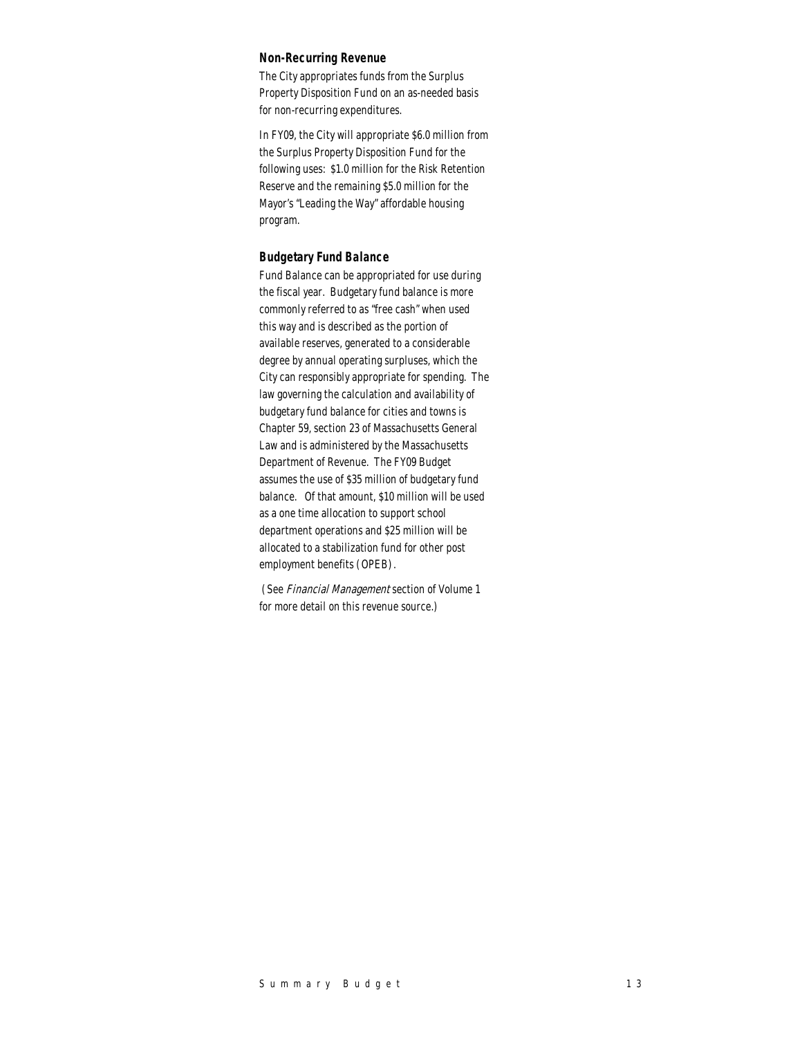## *Non-Recurring Revenue*

The City appropriates funds from the Surplus Property Disposition Fund on an as-needed basis for non-recurring expenditures.

In FY09, the City will appropriate \$6.0 million from the Surplus Property Disposition Fund for the following uses: \$1.0 million for the Risk Retention Reserve and the remaining \$5.0 million for the Mayor's "Leading the Way" affordable housing program.

#### *Budgetary Fund Balance*

Fund Balance can be appropriated for use during the fiscal year. Budgetary fund balance is more commonly referred to as "free cash" when used this way and is described as the portion of available reserves, generated to a considerable degree by annual operating surpluses, which the City can responsibly appropriate for spending. The law governing the calculation and availability of budgetary fund balance for cities and towns is Chapter 59, section 23 of Massachusetts General Law and is administered by the Massachusetts Department of Revenue. The FY09 Budget assumes the use of \$35 million of budgetary fund balance. Of that amount, \$10 million will be used as a one time allocation to support school department operations and \$25 million will be allocated to a stabilization fund for other post employment benefits (OPEB).

 (See Financial Management section of Volume 1 for more detail on this revenue source.)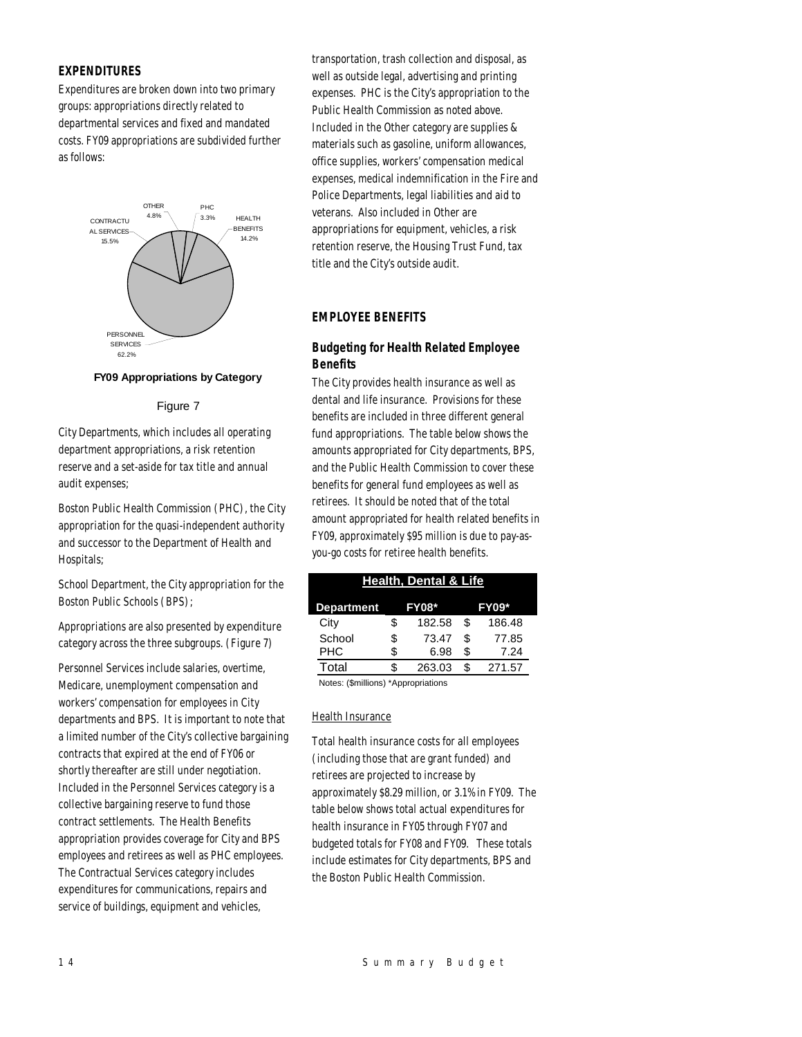## *EXPENDITURES*

Expenditures are broken down into two primary groups: appropriations directly related to departmental services and fixed and mandated costs. FY09 appropriations are subdivided further as follows:



#### **FY09 Appropriations by Category**

#### Figure 7

City Departments, which includes all operating department appropriations, a risk retention reserve and a set-aside for tax title and annual audit expenses;

Boston Public Health Commission (PHC), the City appropriation for the quasi-independent authority and successor to the Department of Health and Hospitals;

School Department, the City appropriation for the Boston Public Schools (BPS);

Appropriations are also presented by expenditure category across the three subgroups. (Figure 7)

Personnel Services include salaries, overtime, Medicare, unemployment compensation and workers' compensation for employees in City departments and BPS. It is important to note that a limited number of the City's collective bargaining contracts that expired at the end of FY06 or shortly thereafter are still under negotiation. Included in the Personnel Services category is a collective bargaining reserve to fund those contract settlements. The Health Benefits appropriation provides coverage for City and BPS employees and retirees as well as PHC employees. The Contractual Services category includes expenditures for communications, repairs and service of buildings, equipment and vehicles,

transportation, trash collection and disposal, as well as outside legal, advertising and printing expenses. PHC is the City's appropriation to the Public Health Commission as noted above. Included in the Other category are supplies & materials such as gasoline, uniform allowances, office supplies, workers' compensation medical expenses, medical indemnification in the Fire and Police Departments, legal liabilities and aid to veterans. Also included in Other are appropriations for equipment, vehicles, a risk retention reserve, the Housing Trust Fund, tax title and the City's outside audit.

## *EMPLOYEE BENEFITS*

## *Budgeting for Health Related Employee Benefits*

The City provides health insurance as well as dental and life insurance. Provisions for these benefits are included in three different general fund appropriations. The table below shows the amounts appropriated for City departments, BPS, and the Public Health Commission to cover these benefits for general fund employees as well as retirees. It should be noted that of the total amount appropriated for health related benefits in FY09, approximately \$95 million is due to pay-asyou-go costs for retiree health benefits.

| <b>Health, Dental &amp; Life</b>                        |    |        |    |        |  |  |  |  |
|---------------------------------------------------------|----|--------|----|--------|--|--|--|--|
| <b>FY09*</b><br><b>FY08*</b><br><b>Department</b>       |    |        |    |        |  |  |  |  |
| City                                                    | \$ | 182.58 | \$ | 186.48 |  |  |  |  |
| School                                                  | \$ | 73.47  | \$ | 77.85  |  |  |  |  |
| <b>PHC</b>                                              | \$ | 6.98   | \$ | 7.24   |  |  |  |  |
| Total                                                   | S. | 263.03 | \$ | 271.57 |  |  |  |  |
| $\mathbf{r}$ , and the same same states of $\mathbf{r}$ |    |        |    |        |  |  |  |  |

Notes: (\$millions) \*Appropriations

#### Health Insurance

Total health insurance costs for all employees (including those that are grant funded) and retirees are projected to increase by approximately \$8.29 million, or 3.1% in FY09. The table below shows total actual expenditures for health insurance in FY05 through FY07 and budgeted totals for FY08 and FY09. These totals include estimates for City departments, BPS and the Boston Public Health Commission.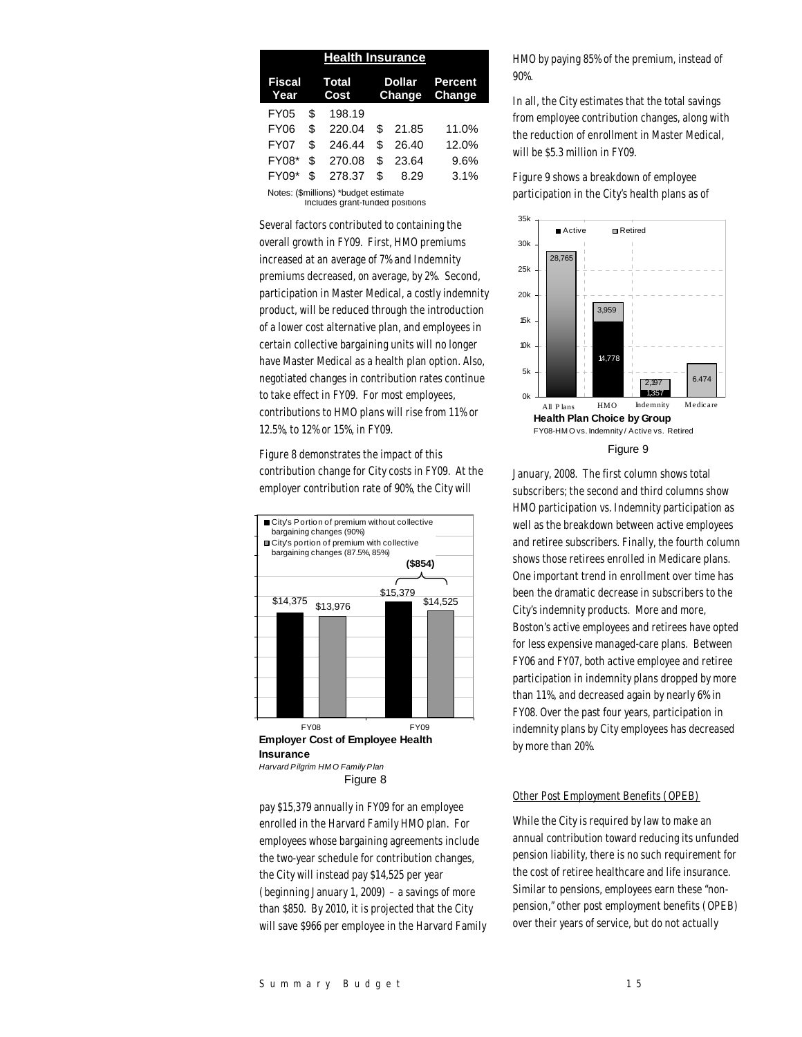|                                                                         |                      | <b>Health Insurance</b> |                                |       |                   |  |
|-------------------------------------------------------------------------|----------------------|-------------------------|--------------------------------|-------|-------------------|--|
| Fiscal<br>Year                                                          | <b>Total</b><br>Cost |                         | <b>Dollar</b><br><b>Change</b> |       | Percent<br>Change |  |
| FY05                                                                    | \$                   | 198.19                  |                                |       |                   |  |
| FY <sub>06</sub>                                                        | \$                   | 220.04                  | \$                             | 21.85 | 11.0%             |  |
| FY <sub>0</sub> 7                                                       | \$                   | 246.44                  | \$                             | 26.40 | 12.0%             |  |
| <b>FY08*</b>                                                            | \$                   | 270.08                  | \$                             | 23.64 | 9.6%              |  |
| FY09*                                                                   | \$                   | 278.37                  | \$                             | 8.29  | 3.1%              |  |
| Notes: (\$millions) *budget estimate<br>Includes grant-funded positions |                      |                         |                                |       |                   |  |

Several factors contributed to containing the overall growth in FY09. First, HMO premiums increased at an average of 7% and Indemnity premiums decreased, on average, by 2%. Second, participation in Master Medical, a costly indemnity product, will be reduced through the introduction of a lower cost alternative plan, and employees in certain collective bargaining units will no longer have Master Medical as a health plan option. Also, negotiated changes in contribution rates continue to take effect in FY09. For most employees, contributions to HMO plans will rise from 11% or 12.5%, to 12% or 15%, in FY09.

Figure 8 demonstrates the impact of this contribution change for City costs in FY09. At the employer contribution rate of 90%, the City will



pay \$15,379 annually in FY09 for an employee enrolled in the Harvard Family HMO plan. For employees whose bargaining agreements include the two-year schedule for contribution changes, the City will instead pay \$14,525 per year (beginning January 1, 2009) – a savings of more than \$850. By 2010, it is projected that the City will save \$966 per employee in the Harvard Family HMO by paying 85% of the premium, instead of 90%.

In all, the City estimates that the total savings from employee contribution changes, along with the reduction of enrollment in Master Medical, will be \$5.3 million in FY09.

Figure 9 shows a breakdown of employee participation in the City's health plans as of



January, 2008. The first column shows total subscribers; the second and third columns show HMO participation vs. Indemnity participation as well as the breakdown between active employees and retiree subscribers. Finally, the fourth column shows those retirees enrolled in Medicare plans. One important trend in enrollment over time has been the dramatic decrease in subscribers to the City's indemnity products. More and more, Boston's active employees and retirees have opted for less expensive managed-care plans. Between FY06 and FY07, both active employee and retiree participation in indemnity plans dropped by more than 11%, and decreased again by nearly 6% in FY08. Over the past four years, participation in indemnity plans by City employees has decreased by more than 20%.

#### Other Post Employment Benefits (OPEB)

While the City is required by law to make an annual contribution toward reducing its unfunded pension liability, there is no such requirement for the cost of retiree healthcare and life insurance. Similar to pensions, employees earn these "nonpension," other post employment benefits (OPEB) over their years of service, but do not actually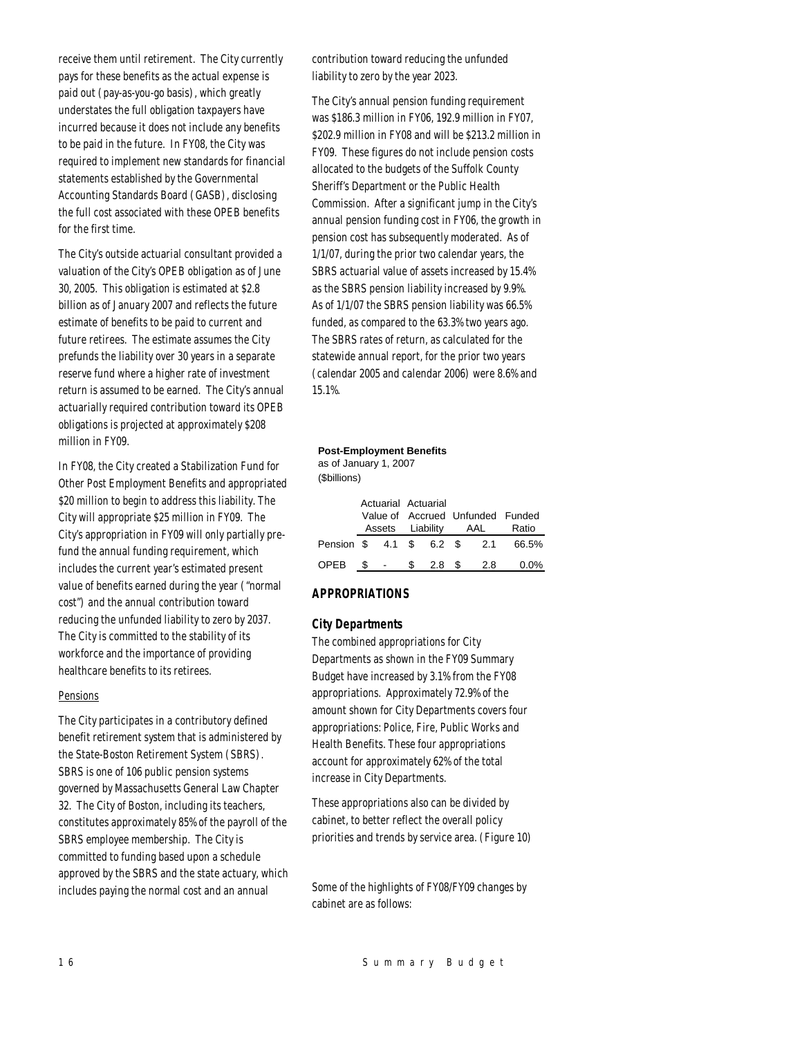receive them until retirement. The City currently pays for these benefits as the actual expense is paid out (pay-as-you-go basis), which greatly understates the full obligation taxpayers have incurred because it does not include any benefits to be paid in the future. In FY08, the City was required to implement new standards for financial statements established by the Governmental Accounting Standards Board (GASB), disclosing the full cost associated with these OPEB benefits for the first time.

The City's outside actuarial consultant provided a valuation of the City's OPEB obligation as of June 30, 2005. This obligation is estimated at \$2.8 billion as of January 2007 and reflects the future estimate of benefits to be paid to current and future retirees. The estimate assumes the City prefunds the liability over 30 years in a separate reserve fund where a higher rate of investment return is assumed to be earned. The City's annual actuarially required contribution toward its OPEB obligations is projected at approximately \$208 million in FY09.

In FY08, the City created a Stabilization Fund for Other Post Employment Benefits and appropriated \$20 million to begin to address this liability. The City will appropriate \$25 million in FY09. The City's appropriation in FY09 will only partially prefund the annual funding requirement, which includes the current year's estimated present value of benefits earned during the year ("normal cost") and the annual contribution toward reducing the unfunded liability to zero by 2037. The City is committed to the stability of its workforce and the importance of providing healthcare benefits to its retirees.

#### **Pensions**

The City participates in a contributory defined benefit retirement system that is administered by the State-Boston Retirement System (SBRS). SBRS is one of 106 public pension systems governed by Massachusetts General Law Chapter 32. The City of Boston, including its teachers, constitutes approximately 85% of the payroll of the SBRS employee membership. The City is committed to funding based upon a schedule approved by the SBRS and the state actuary, which includes paying the normal cost and an annual

contribution toward reducing the unfunded liability to zero by the year 2023.

The City's annual pension funding requirement was \$186.3 million in FY06, 192.9 million in FY07, \$202.9 million in FY08 and will be \$213.2 million in FY09. These figures do not include pension costs allocated to the budgets of the Suffolk County Sheriff's Department or the Public Health Commission. After a significant jump in the City's annual pension funding cost in FY06, the growth in pension cost has subsequently moderated. As of 1/1/07, during the prior two calendar years, the SBRS actuarial value of assets increased by 15.4% as the SBRS pension liability increased by 9.9%. As of 1/1/07 the SBRS pension liability was 66.5% funded, as compared to the 63.3% two years ago. The SBRS rates of return, as calculated for the statewide annual report, for the prior two years (calendar 2005 and calendar 2006) were 8.6% and 15.1%.

#### **Post-Employment Benefits**

(\$billions) as of January 1, 2007

|                              |   | Actuarial Actuarial<br>Value of Accrued Unfunded Funded<br>Assets Liability |                  | AAL | Ratio   |  |
|------------------------------|---|-----------------------------------------------------------------------------|------------------|-----|---------|--|
| Pension \$ 4.1 \$ 6.2 \$ 2.1 |   |                                                                             |                  |     | 66.5%   |  |
| OPEB                         | S | \$.                                                                         | 2.8 <sup>5</sup> | 2.8 | $0.0\%$ |  |

## *APPROPRIATIONS*

### *City Departments*

The combined appropriations for City Departments as shown in the FY09 Summary Budget have increased by 3.1% from the FY08 appropriations. Approximately 72.9% of the amount shown for City Departments covers four appropriations: Police, Fire, Public Works and Health Benefits. These four appropriations account for approximately 62% of the total increase in City Departments.

These appropriations also can be divided by cabinet, to better reflect the overall policy priorities and trends by service area. (Figure 10)

Some of the highlights of FY08/FY09 changes by cabinet are as follows: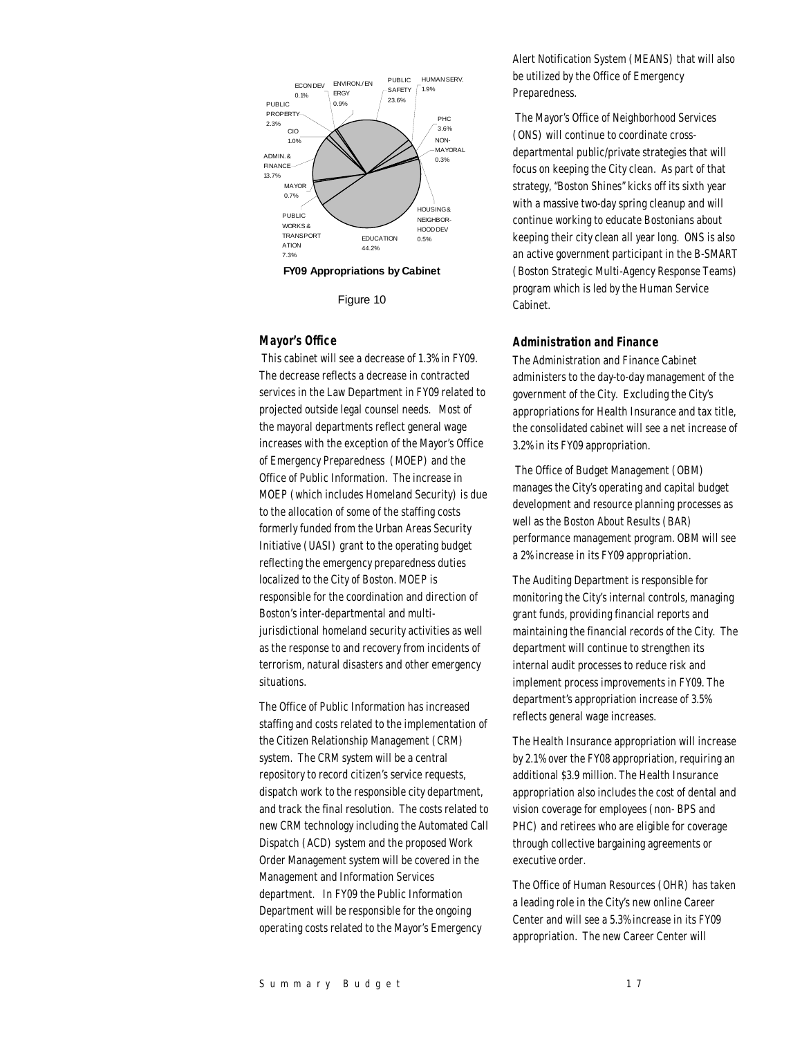

Figure 10

## *Mayor's Office*

 This cabinet will see a decrease of 1.3% in FY09. The decrease reflects a decrease in contracted services in the Law Department in FY09 related to projected outside legal counsel needs. Most of the mayoral departments reflect general wage increases with the exception of the Mayor's Office of Emergency Preparedness (MOEP) and the Office of Public Information. The increase in MOEP (which includes Homeland Security) is due to the allocation of some of the staffing costs formerly funded from the Urban Areas Security Initiative (UASI) grant to the operating budget reflecting the emergency preparedness duties localized to the City of Boston. MOEP is responsible for the coordination and direction of Boston's inter-departmental and multijurisdictional homeland security activities as well as the response to and recovery from incidents of terrorism, natural disasters and other emergency situations.

The Office of Public Information has increased staffing and costs related to the implementation of the Citizen Relationship Management (CRM) system. The CRM system will be a central repository to record citizen's service requests, dispatch work to the responsible city department, and track the final resolution. The costs related to new CRM technology including the Automated Call Dispatch (ACD) system and the proposed Work Order Management system will be covered in the Management and Information Services department. In FY09 the Public Information Department will be responsible for the ongoing operating costs related to the Mayor's Emergency

Alert Notification System (MEANS) that will also be utilized by the Office of Emergency Preparedness.

 The Mayor's Office of Neighborhood Services (ONS) will continue to coordinate crossdepartmental public/private strategies that will focus on keeping the City clean. As part of that strategy, "Boston Shines" kicks off its sixth year with a massive two-day spring cleanup and will continue working to educate Bostonians about keeping their city clean all year long. ONS is also an active government participant in the B-SMART (Boston Strategic Multi-Agency Response Teams) program which is led by the Human Service Cabinet.

#### *Administration and Finance*

The Administration and Finance Cabinet administers to the day-to-day management of the government of the City. Excluding the City's appropriations for Health Insurance and tax title, the consolidated cabinet will see a net increase of 3.2% in its FY09 appropriation.

 The Office of Budget Management (OBM) manages the City's operating and capital budget development and resource planning processes as well as the Boston About Results (BAR) performance management program. OBM will see a 2% increase in its FY09 appropriation.

The Auditing Department is responsible for monitoring the City's internal controls, managing grant funds, providing financial reports and maintaining the financial records of the City. The department will continue to strengthen its internal audit processes to reduce risk and implement process improvements in FY09. The department's appropriation increase of 3.5% reflects general wage increases.

The Health Insurance appropriation will increase by 2.1% over the FY08 appropriation, requiring an additional \$3.9 million. The Health Insurance appropriation also includes the cost of dental and vision coverage for employees (non- BPS and PHC) and retirees who are eligible for coverage through collective bargaining agreements or executive order.

The Office of Human Resources (OHR) has taken a leading role in the City's new online Career Center and will see a 5.3% increase in its FY09 appropriation. The new Career Center will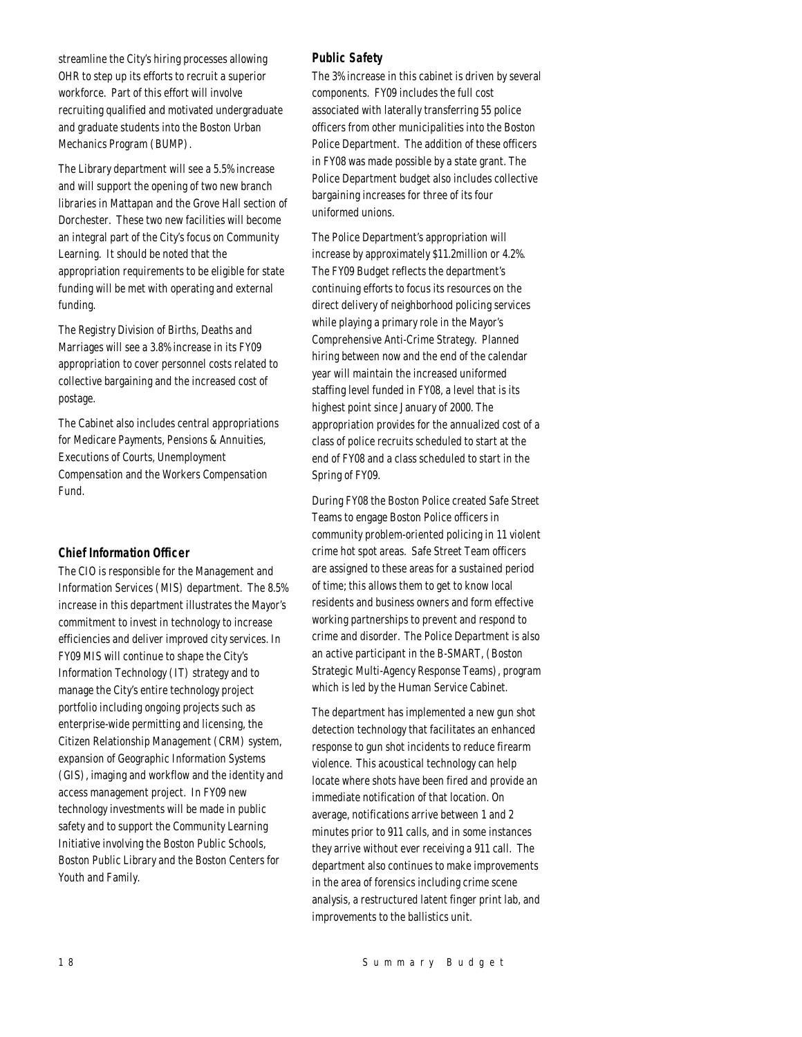streamline the City's hiring processes allowing OHR to step up its efforts to recruit a superior workforce. Part of this effort will involve recruiting qualified and motivated undergraduate and graduate students into the Boston Urban Mechanics Program (BUMP).

The Library department will see a 5.5% increase and will support the opening of two new branch libraries in Mattapan and the Grove Hall section of Dorchester. These two new facilities will become an integral part of the City's focus on Community Learning. It should be noted that the appropriation requirements to be eligible for state funding will be met with operating and external funding.

The Registry Division of Births, Deaths and Marriages will see a 3.8% increase in its FY09 appropriation to cover personnel costs related to collective bargaining and the increased cost of postage.

The Cabinet also includes central appropriations for Medicare Payments, Pensions & Annuities, Executions of Courts, Unemployment Compensation and the Workers Compensation Fund.

## *Chief Information Officer*

The CIO is responsible for the Management and Information Services (MIS) department. The 8.5% increase in this department illustrates the Mayor's commitment to invest in technology to increase efficiencies and deliver improved city services. In FY09 MIS will continue to shape the City's Information Technology (IT) strategy and to manage the City's entire technology project portfolio including ongoing projects such as enterprise-wide permitting and licensing, the Citizen Relationship Management (CRM) system, expansion of Geographic Information Systems (GIS), imaging and workflow and the identity and access management project. In FY09 new technology investments will be made in public safety and to support the Community Learning Initiative involving the Boston Public Schools, Boston Public Library and the Boston Centers for Youth and Family.

## *Public Safety*

The 3% increase in this cabinet is driven by several components. FY09 includes the full cost associated with laterally transferring 55 police officers from other municipalities into the Boston Police Department. The addition of these officers in FY08 was made possible by a state grant. The Police Department budget also includes collective bargaining increases for three of its four uniformed unions.

The Police Department's appropriation will increase by approximately \$11.2million or 4.2%. The FY09 Budget reflects the department's continuing efforts to focus its resources on the direct delivery of neighborhood policing services while playing a primary role in the Mayor's Comprehensive Anti-Crime Strategy. Planned hiring between now and the end of the calendar year will maintain the increased uniformed staffing level funded in FY08, a level that is its highest point since January of 2000. The appropriation provides for the annualized cost of a class of police recruits scheduled to start at the end of FY08 and a class scheduled to start in the Spring of FY09.

During FY08 the Boston Police created Safe Street Teams to engage Boston Police officers in community problem-oriented policing in 11 violent crime hot spot areas. Safe Street Team officers are assigned to these areas for a sustained period of time; this allows them to get to know local residents and business owners and form effective working partnerships to prevent and respond to crime and disorder. The Police Department is also an active participant in the B-SMART, (Boston Strategic Multi-Agency Response Teams), program which is led by the Human Service Cabinet.

The department has implemented a new gun shot detection technology that facilitates an enhanced response to gun shot incidents to reduce firearm violence. This acoustical technology can help locate where shots have been fired and provide an immediate notification of that location. On average, notifications arrive between 1 and 2 minutes prior to 911 calls, and in some instances they arrive without ever receiving a 911 call. The department also continues to make improvements in the area of forensics including crime scene analysis, a restructured latent finger print lab, and improvements to the ballistics unit.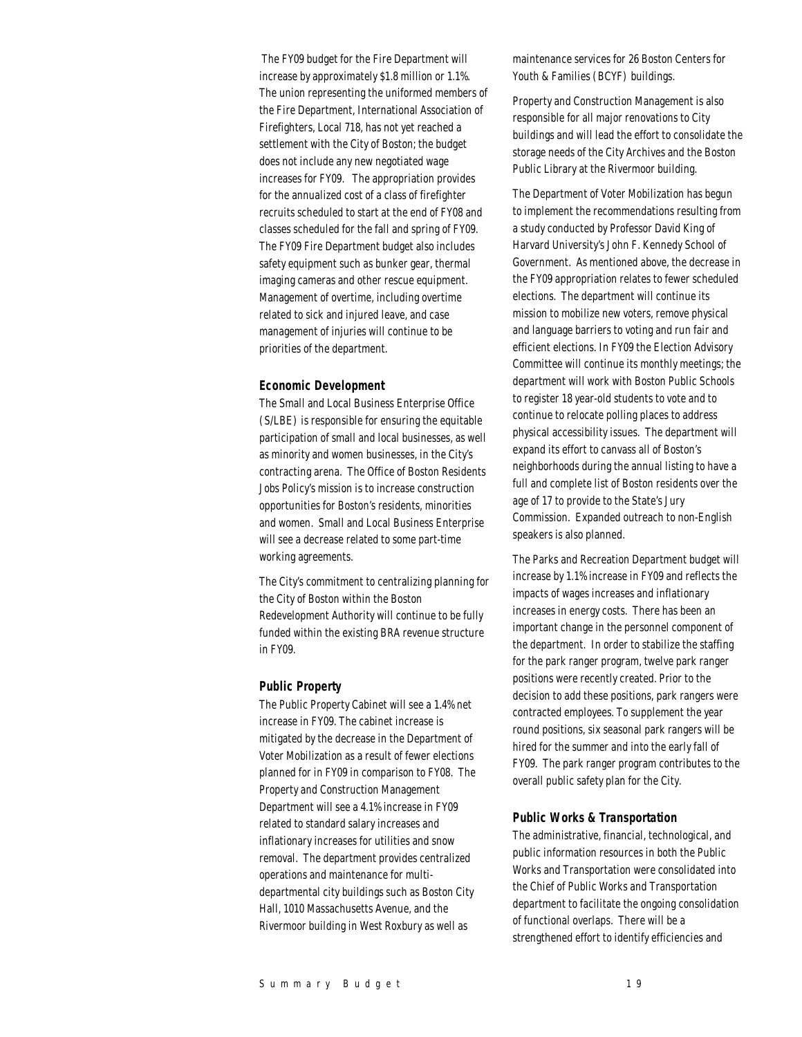The FY09 budget for the Fire Department will increase by approximately \$1.8 million or 1.1%. The union representing the uniformed members of the Fire Department, International Association of Firefighters, Local 718, has not yet reached a settlement with the City of Boston; the budget does not include any new negotiated wage increases for FY09. The appropriation provides for the annualized cost of a class of firefighter recruits scheduled to start at the end of FY08 and classes scheduled for the fall and spring of FY09. The FY09 Fire Department budget also includes safety equipment such as bunker gear, thermal imaging cameras and other rescue equipment. Management of overtime, including overtime related to sick and injured leave, and case management of injuries will continue to be priorities of the department.

#### *Economic Development*

The Small and Local Business Enterprise Office (S/LBE) is responsible for ensuring the equitable participation of small and local businesses, as well as minority and women businesses, in the City's contracting arena. The Office of Boston Residents Jobs Policy's mission is to increase construction opportunities for Boston's residents, minorities and women. Small and Local Business Enterprise will see a decrease related to some part-time working agreements.

The City's commitment to centralizing planning for the City of Boston within the Boston Redevelopment Authority will continue to be fully funded within the existing BRA revenue structure in FY09.

#### *Public Property*

The Public Property Cabinet will see a 1.4% net increase in FY09. The cabinet increase is mitigated by the decrease in the Department of Voter Mobilization as a result of fewer elections planned for in FY09 in comparison to FY08. The Property and Construction Management Department will see a 4.1% increase in FY09 related to standard salary increases and inflationary increases for utilities and snow removal. The department provides centralized operations and maintenance for multidepartmental city buildings such as Boston City Hall, 1010 Massachusetts Avenue, and the Rivermoor building in West Roxbury as well as

maintenance services for 26 Boston Centers for Youth & Families (BCYF) buildings.

Property and Construction Management is also responsible for all major renovations to City buildings and will lead the effort to consolidate the storage needs of the City Archives and the Boston Public Library at the Rivermoor building.

The Department of Voter Mobilization has begun to implement the recommendations resulting from a study conducted by Professor David King of Harvard University's John F. Kennedy School of Government. As mentioned above, the decrease in the FY09 appropriation relates to fewer scheduled elections. The department will continue its mission to mobilize new voters, remove physical and language barriers to voting and run fair and efficient elections. In FY09 the Election Advisory Committee will continue its monthly meetings; the department will work with Boston Public Schools to register 18 year-old students to vote and to continue to relocate polling places to address physical accessibility issues. The department will expand its effort to canvass all of Boston's neighborhoods during the annual listing to have a full and complete list of Boston residents over the age of 17 to provide to the State's Jury Commission. Expanded outreach to non-English speakers is also planned.

The Parks and Recreation Department budget will increase by 1.1% increase in FY09 and reflects the impacts of wages increases and inflationary increases in energy costs. There has been an important change in the personnel component of the department. In order to stabilize the staffing for the park ranger program, twelve park ranger positions were recently created. Prior to the decision to add these positions, park rangers were contracted employees. To supplement the year round positions, six seasonal park rangers will be hired for the summer and into the early fall of FY09. The park ranger program contributes to the overall public safety plan for the City.

#### *Public Works & Transportation*

The administrative, financial, technological, and public information resources in both the Public Works and Transportation were consolidated into the Chief of Public Works and Transportation department to facilitate the ongoing consolidation of functional overlaps. There will be a strengthened effort to identify efficiencies and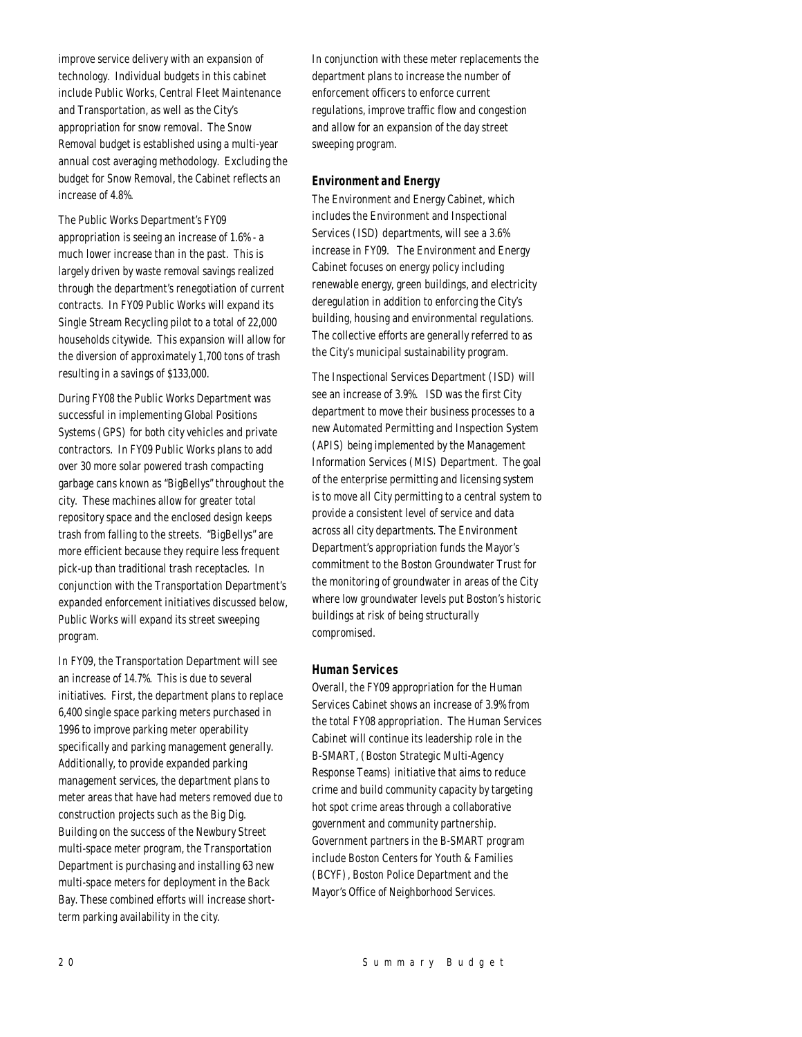improve service delivery with an expansion of technology. Individual budgets in this cabinet include Public Works, Central Fleet Maintenance and Transportation, as well as the City's appropriation for snow removal. The Snow Removal budget is established using a multi-year annual cost averaging methodology. Excluding the budget for Snow Removal, the Cabinet reflects an increase of 4.8%.

The Public Works Department's FY09 appropriation is seeing an increase of 1.6% - a much lower increase than in the past. This is largely driven by waste removal savings realized through the department's renegotiation of current contracts. In FY09 Public Works will expand its Single Stream Recycling pilot to a total of 22,000 households citywide. This expansion will allow for the diversion of approximately 1,700 tons of trash resulting in a savings of \$133,000.

During FY08 the Public Works Department was successful in implementing Global Positions Systems (GPS) for both city vehicles and private contractors. In FY09 Public Works plans to add over 30 more solar powered trash compacting garbage cans known as "BigBellys" throughout the city. These machines allow for greater total repository space and the enclosed design keeps trash from falling to the streets. "BigBellys" are more efficient because they require less frequent pick-up than traditional trash receptacles. In conjunction with the Transportation Department's expanded enforcement initiatives discussed below, Public Works will expand its street sweeping program.

In FY09, the Transportation Department will see an increase of 14.7%. This is due to several initiatives. First, the department plans to replace 6,400 single space parking meters purchased in 1996 to improve parking meter operability specifically and parking management generally. Additionally, to provide expanded parking management services, the department plans to meter areas that have had meters removed due to construction projects such as the Big Dig. Building on the success of the Newbury Street multi-space meter program, the Transportation Department is purchasing and installing 63 new multi-space meters for deployment in the Back Bay. These combined efforts will increase shortterm parking availability in the city.

In conjunction with these meter replacements the department plans to increase the number of enforcement officers to enforce current regulations, improve traffic flow and congestion and allow for an expansion of the day street sweeping program.

## *Environment and Energy*

The Environment and Energy Cabinet, which includes the Environment and Inspectional Services (ISD) departments, will see a 3.6% increase in FY09. The Environment and Energy Cabinet focuses on energy policy including renewable energy, green buildings, and electricity deregulation in addition to enforcing the City's building, housing and environmental regulations. The collective efforts are generally referred to as the City's municipal sustainability program.

The Inspectional Services Department (ISD) will see an increase of 3.9%. ISD was the first City department to move their business processes to a new Automated Permitting and Inspection System (APIS) being implemented by the Management Information Services (MIS) Department. The goal of the enterprise permitting and licensing system is to move all City permitting to a central system to provide a consistent level of service and data across all city departments. The Environment Department's appropriation funds the Mayor's commitment to the Boston Groundwater Trust for the monitoring of groundwater in areas of the City where low groundwater levels put Boston's historic buildings at risk of being structurally compromised.

## *Human Services*

Overall, the FY09 appropriation for the Human Services Cabinet shows an increase of 3.9% from the total FY08 appropriation. The Human Services Cabinet will continue its leadership role in the B-SMART, (Boston Strategic Multi-Agency Response Teams) initiative that aims to reduce crime and build community capacity by targeting hot spot crime areas through a collaborative government and community partnership. Government partners in the B-SMART program include Boston Centers for Youth & Families (BCYF), Boston Police Department and the Mayor's Office of Neighborhood Services.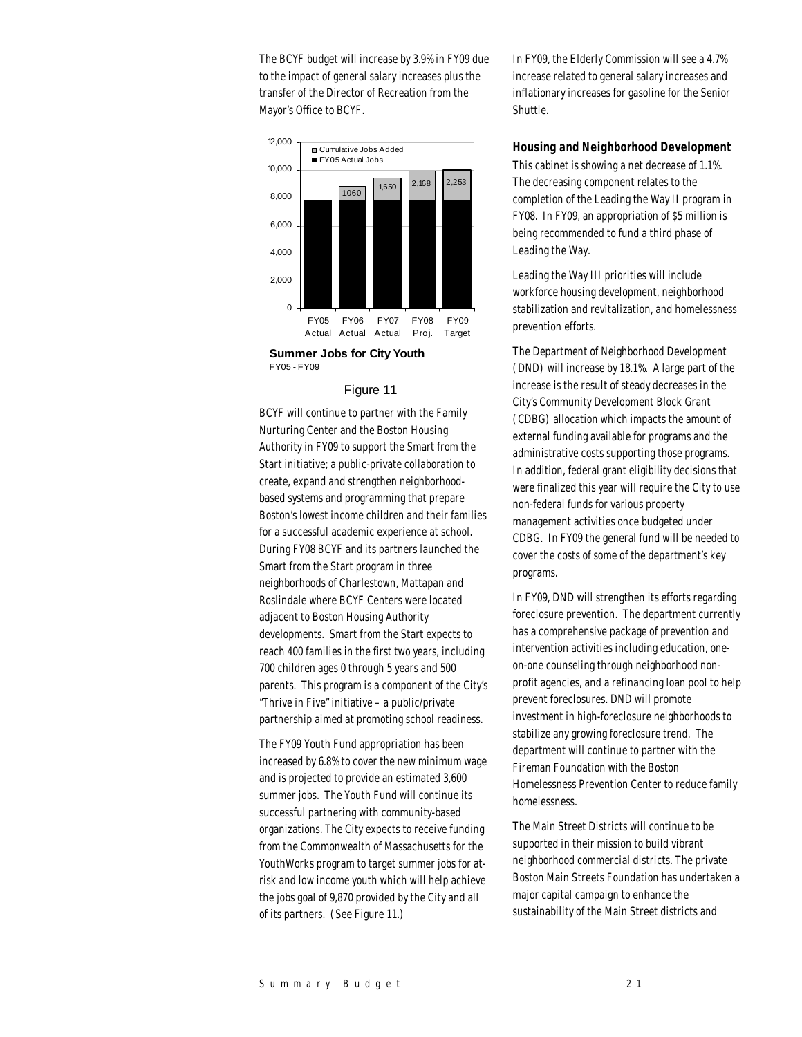The BCYF budget will increase by 3.9% in FY09 due to the impact of general salary increases plus the transfer of the Director of Recreation from the Mayor's Office to BCYF.



FY05 - FY09

#### Figure 11

BCYF will continue to partner with the Family Nurturing Center and the Boston Housing Authority in FY09 to support the Smart from the Start initiative; a public-private collaboration to create, expand and strengthen neighborhoodbased systems and programming that prepare Boston's lowest income children and their families for a successful academic experience at school. During FY08 BCYF and its partners launched the Smart from the Start program in three neighborhoods of Charlestown, Mattapan and Roslindale where BCYF Centers were located adjacent to Boston Housing Authority developments. Smart from the Start expects to reach 400 families in the first two years, including 700 children ages 0 through 5 years and 500 parents. This program is a component of the City's "Thrive in Five" initiative – a public/private partnership aimed at promoting school readiness.

The FY09 Youth Fund appropriation has been increased by 6.8% to cover the new minimum wage and is projected to provide an estimated 3,600 summer jobs. The Youth Fund will continue its successful partnering with community-based organizations. The City expects to receive funding from the Commonwealth of Massachusetts for the YouthWorks program to target summer jobs for atrisk and low income youth which will help achieve the jobs goal of 9,870 provided by the City and all of its partners. (See Figure 11.)

In FY09, the Elderly Commission will see a 4.7% increase related to general salary increases and inflationary increases for gasoline for the Senior Shuttle.

## *Housing and Neighborhood Development*

This cabinet is showing a net decrease of 1.1%. The decreasing component relates to the completion of the Leading the Way II program in FY08. In FY09, an appropriation of \$5 million is being recommended to fund a third phase of Leading the Way.

Leading the Way III priorities will include workforce housing development, neighborhood stabilization and revitalization, and homelessness prevention efforts.

The Department of Neighborhood Development (DND) will increase by 18.1%. A large part of the increase is the result of steady decreases in the City's Community Development Block Grant (CDBG) allocation which impacts the amount of external funding available for programs and the administrative costs supporting those programs. In addition, federal grant eligibility decisions that were finalized this year will require the City to use non-federal funds for various property management activities once budgeted under CDBG. In FY09 the general fund will be needed to cover the costs of some of the department's key programs.

In FY09, DND will strengthen its efforts regarding foreclosure prevention. The department currently has a comprehensive package of prevention and intervention activities including education, oneon-one counseling through neighborhood nonprofit agencies, and a refinancing loan pool to help prevent foreclosures. DND will promote investment in high-foreclosure neighborhoods to stabilize any growing foreclosure trend. The department will continue to partner with the Fireman Foundation with the Boston Homelessness Prevention Center to reduce family homelessness.

The Main Street Districts will continue to be supported in their mission to build vibrant neighborhood commercial districts. The private Boston Main Streets Foundation has undertaken a major capital campaign to enhance the sustainability of the Main Street districts and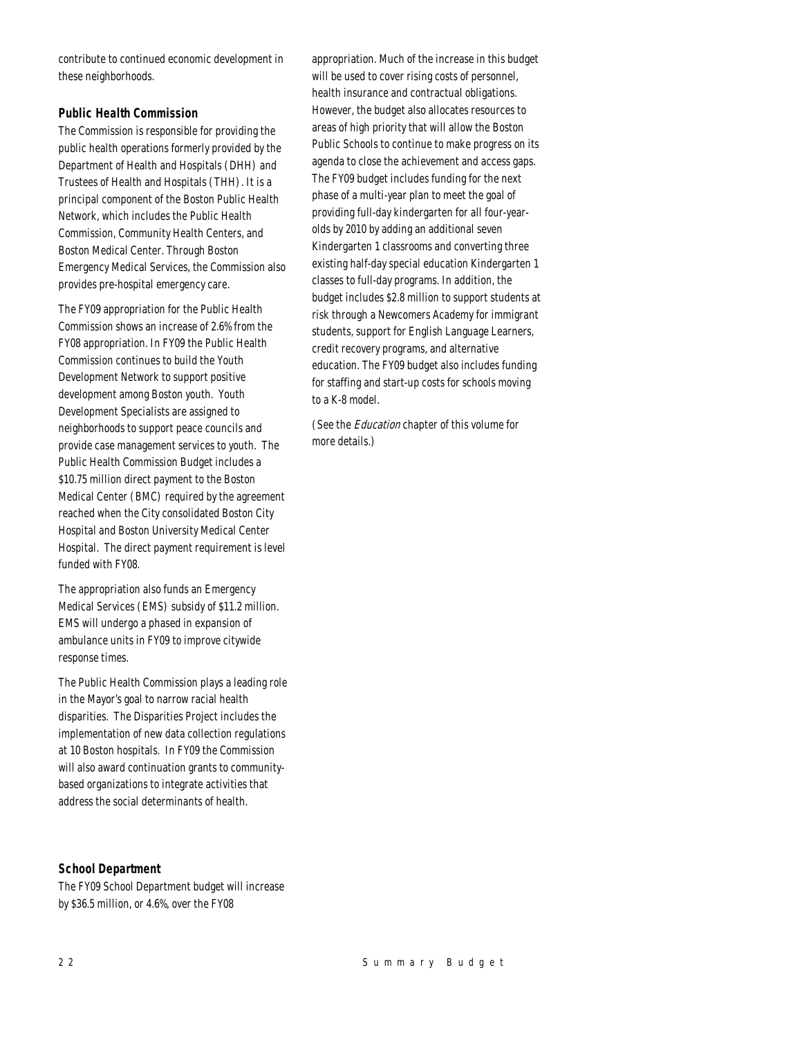contribute to continued economic development in these neighborhoods.

## *Public Health Commission*

The Commission is responsible for providing the public health operations formerly provided by the Department of Health and Hospitals (DHH) and Trustees of Health and Hospitals (THH). It is a principal component of the Boston Public Health Network, which includes the Public Health Commission, Community Health Centers, and Boston Medical Center. Through Boston Emergency Medical Services, the Commission also provides pre-hospital emergency care.

The FY09 appropriation for the Public Health Commission shows an increase of 2.6% from the FY08 appropriation. In FY09 the Public Health Commission continues to build the Youth Development Network to support positive development among Boston youth. Youth Development Specialists are assigned to neighborhoods to support peace councils and provide case management services to youth. The Public Health Commission Budget includes a \$10.75 million direct payment to the Boston Medical Center (BMC) required by the agreement reached when the City consolidated Boston City Hospital and Boston University Medical Center Hospital. The direct payment requirement is level funded with FY08.

The appropriation also funds an Emergency Medical Services (EMS) subsidy of \$11.2 million. EMS will undergo a phased in expansion of ambulance units in FY09 to improve citywide response times.

The Public Health Commission plays a leading role in the Mayor's goal to narrow racial health disparities. The Disparities Project includes the implementation of new data collection regulations at 10 Boston hospitals. In FY09 the Commission will also award continuation grants to communitybased organizations to integrate activities that address the social determinants of health.

*School Department* 

The FY09 School Department budget will increase by \$36.5 million, or 4.6%, over the FY08

appropriation. Much of the increase in this budget will be used to cover rising costs of personnel, health insurance and contractual obligations. However, the budget also allocates resources to areas of high priority that will allow the Boston Public Schools to continue to make progress on its agenda to close the achievement and access gaps. The FY09 budget includes funding for the next phase of a multi-year plan to meet the goal of providing full-day kindergarten for all four-yearolds by 2010 by adding an additional seven Kindergarten 1 classrooms and converting three existing half-day special education Kindergarten 1 classes to full-day programs. In addition, the budget includes \$2.8 million to support students at risk through a Newcomers Academy for immigrant students, support for English Language Learners, credit recovery programs, and alternative education. The FY09 budget also includes funding for staffing and start-up costs for schools moving to a K-8 model.

(See the *Education* chapter of this volume for more details.)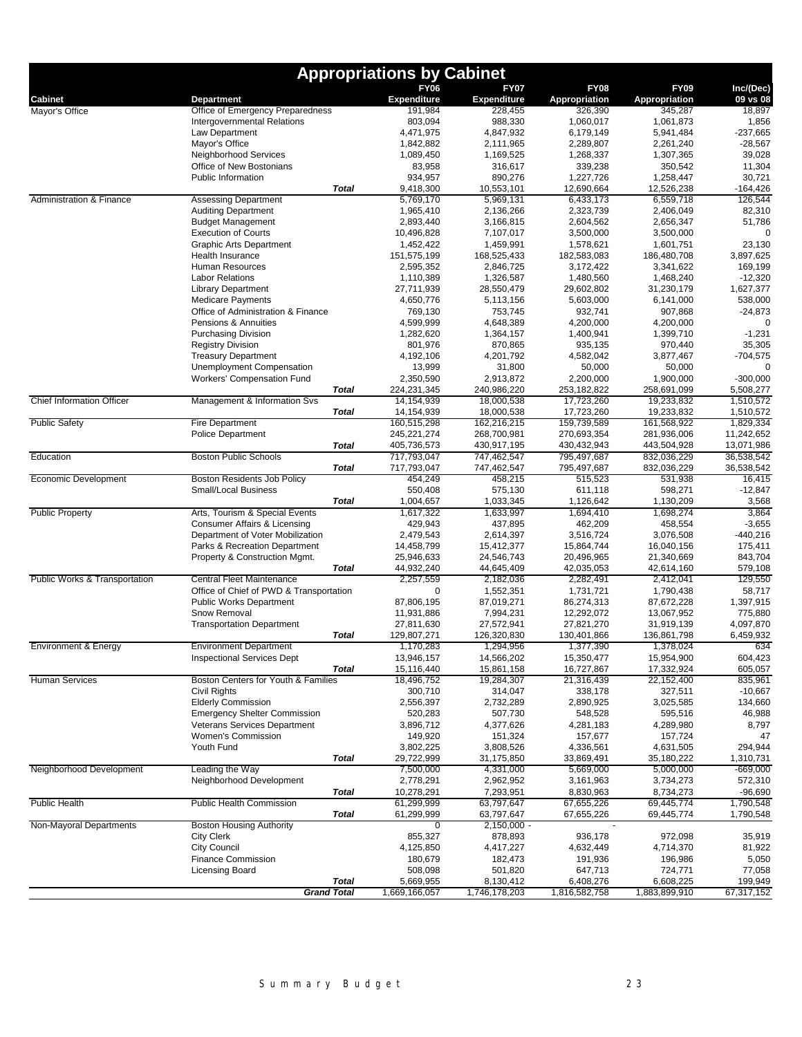|                                          |                                                                      | <b>Appropriations by Cabinet</b>  |                               |                            |                            |                          |
|------------------------------------------|----------------------------------------------------------------------|-----------------------------------|-------------------------------|----------------------------|----------------------------|--------------------------|
|                                          |                                                                      | <b>FY06</b><br><b>Expenditure</b> | <b>FY07</b>                   | <b>FY08</b>                | <b>FY09</b>                | Inc/(Dec)                |
| <b>Cabinet</b><br>Mayor's Office         | <b>Department</b><br>Office of Emergency Preparedness                | 191,984                           | <b>Expenditure</b><br>228,455 | Appropriation<br>326,390   | Appropriation<br>345,287   | 09 vs 08<br>18,897       |
|                                          | Intergovernmental Relations                                          | 803,094                           | 988,330                       | 1,060,017                  | 1,061,873                  | 1,856                    |
|                                          | Law Department                                                       | 4,471,975                         | 4,847,932                     | 6,179,149                  | 5,941,484                  | -237,665                 |
|                                          | Mayor's Office<br>Neighborhood Services                              | 1,842,882<br>1,089,450            | 2,111,965<br>1,169,525        | 2,289,807<br>1,268,337     | 2,261,240<br>1,307,365     | $-28,567$<br>39,028      |
|                                          | Office of New Bostonians                                             | 83,958                            | 316,617                       | 339,238                    | 350,542                    | 11,304                   |
|                                          | <b>Public Information</b>                                            | 934,957                           | 890,276                       | 1,227,726                  | 1,258,447                  | 30,721                   |
|                                          | <b>Total</b>                                                         | 9,418,300                         | 10,553,101                    | 12,690,664                 | 12,526,238                 | $-164,426$               |
| Administration & Finance                 | <b>Assessing Department</b><br><b>Auditing Department</b>            | 5,769,170<br>1,965,410            | 5,969,131<br>2,136,266        | 6,433,173<br>2,323,739     | 6,559,718<br>2,406,049     | 126,544<br>82,310        |
|                                          | <b>Budget Management</b>                                             | 2,893,440                         | 3,166,815                     | 2,604,562                  | 2,656,347                  | 51,786                   |
|                                          | <b>Execution of Courts</b>                                           | 10,496,828                        | 7,107,017                     | 3,500,000                  | 3,500,000                  | 0                        |
|                                          | <b>Graphic Arts Department</b>                                       | 1,452,422                         | 1,459,991                     | 1,578,621                  | 1,601,751                  | 23,130                   |
|                                          | Health Insurance                                                     | 151,575,199                       | 168,525,433                   | 182,583,083                | 186,480,708                | 3,897,625                |
|                                          | Human Resources<br><b>Labor Relations</b>                            | 2,595,352<br>1,110,389            | 2,846,725<br>1,326,587        | 3,172,422<br>1,480,560     | 3,341,622<br>1,468,240     | 169,199<br>$-12,320$     |
|                                          | <b>Library Department</b>                                            | 27,711,939                        | 28,550,479                    | 29,602,802                 | 31,230,179                 | 1,627,377                |
|                                          | <b>Medicare Payments</b>                                             | 4,650,776                         | 5,113,156                     | 5,603,000                  | 6,141,000                  | 538,000                  |
|                                          | Office of Administration & Finance                                   | 769,130                           | 753,745                       | 932,741                    | 907,868                    | $-24,873$                |
|                                          | Pensions & Annuities                                                 | 4,599,999                         | 4,648,389                     | 4,200,000                  | 4,200,000                  |                          |
|                                          | <b>Purchasing Division</b><br><b>Registry Division</b>               | 1,282,620<br>801,976              | 1,364,157<br>870,865          | 1,400,941<br>935,135       | 1,399,710<br>970,440       | $-1,231$<br>35,305       |
|                                          | <b>Treasury Department</b>                                           | 4,192,106                         | 4,201,792                     | 4,582,042                  | 3,877,467                  | $-704,575$               |
|                                          | Unemployment Compensation                                            | 13,999                            | 31,800                        | 50,000                     | 50,000                     |                          |
|                                          | <b>Workers' Compensation Fund</b>                                    | 2,350,590                         | 2,913,872                     | 2,200,000                  | 1,900,000                  | $-300,000$               |
| <b>Chief Information Officer</b>         | <b>Total</b>                                                         | 224,231,345                       | 240,986,220                   | 253,182,822                | 258,691,099                | 5,508,277                |
|                                          | Management & Information Svs<br><b>Total</b>                         | 14, 154, 939<br>14,154,939        | 18,000,538<br>18,000,538      | 17,723,260<br>17,723,260   | 19,233,832<br>19,233,832   | 1,510,572<br>1,510,572   |
| <b>Public Safety</b>                     | <b>Fire Department</b>                                               | 160,515,298                       | 162,216,215                   | 159,739,589                | 161,568,922                | 1,829,334                |
|                                          | <b>Police Department</b>                                             | 245,221,274                       | 268,700,981                   | 270,693,354                | 281,936,006                | 11,242,652               |
|                                          | <b>Total</b>                                                         | 405,736,573                       | 430,917,195                   | 430,432,943                | 443,504,928                | 13,071,986               |
| Education                                | <b>Boston Public Schools</b><br><b>Total</b>                         | 717,793,047<br>717,793,047        | 747,462,547<br>747,462,547    | 795,497,687<br>795,497,687 | 832,036,229<br>832,036,229 | 36,538,542<br>36,538,542 |
| Economic Development                     | <b>Boston Residents Job Policy</b>                                   | 454,249                           | 458,215                       | 515,523                    | 531,938                    | 16,415                   |
|                                          | <b>Small/Local Business</b>                                          | 550,408                           | 575,130                       | 611,118                    | 598,271                    | $-12,847$                |
|                                          | <b>Total</b>                                                         | 1,004,657                         | 1,033,345                     | 1,126,642                  | 1,130,209                  | 3,568                    |
| <b>Public Property</b>                   | Arts, Tourism & Special Events                                       | 1,617,322                         | 1,633,997                     | 1,694,410                  | 1,698,274                  | 3,864                    |
|                                          | Consumer Affairs & Licensing<br>Department of Voter Mobilization     | 429,943<br>2,479,543              | 437,895<br>2,614,397          | 462,209<br>3,516,724       | 458,554<br>3,076,508       | $-3,655$<br>-440,216     |
|                                          | Parks & Recreation Department                                        | 14,458,799                        | 15,412,377                    | 15,864,744                 | 16,040,156                 | 175,411                  |
|                                          | Property & Construction Mgmt.                                        | 25,946,633                        | 24,546,743                    | 20,496,965                 | 21,340,669                 | 843,704                  |
|                                          | Total                                                                | 44,932,240                        | 44,645,409                    | 42,035,053                 | 42,614,160                 | 579,108                  |
| <b>Public Works &amp; Transportation</b> | Central Fleet Maintenance<br>Office of Chief of PWD & Transportation | 2,257,559<br>$\mathbf 0$          | 2,182,036<br>1,552,351        | 2,282,491<br>1,731,721     | 2,412,041<br>1,790,438     | 129,550<br>58,717        |
|                                          | <b>Public Works Department</b>                                       | 87,806,195                        | 87,019,271                    | 86,274,313                 | 87,672,228                 | 1,397,915                |
|                                          | Snow Removal                                                         | 11,931,886                        | 7,994,231                     | 12,292,072                 | 13,067,952                 | 775,880                  |
|                                          | <b>Transportation Department</b>                                     | 27,811,630                        | 27,572,941                    | 27,821,270                 | 31,919,139                 | 4,097,870                |
|                                          | Total                                                                | 129,807,271                       | 126,320,830                   | 130,401,866                | 136,861,798                | 6,459,932                |
| Environment & Energy                     | <b>Environment Department</b><br><b>Inspectional Services Dept</b>   | 1,170,283<br>13,946,157           | 1,294,956<br>14,566,202       | 1,377,390<br>15,350,477    | 1,378,024<br>15,954,900    | 634<br>604,423           |
|                                          | <b>Total</b>                                                         | 15,116,440                        | 15,861,158                    | 16,727,867                 | 17,332,924                 | 605,057                  |
| <b>Human Services</b>                    | Boston Centers for Youth & Families                                  | 18,496,752                        | 19,284,307                    | 21,316,439                 | 22,152,400                 | 835,961                  |
|                                          | Civil Rights                                                         | 300,710                           | 314,047                       | 338,178                    | 327,511                    | $-10,667$                |
|                                          | <b>Elderly Commission</b><br><b>Emergency Shelter Commission</b>     | 2,556,397<br>520,283              | 2,732,289<br>507,730          | 2,890,925                  | 3,025,585<br>595,516       | 134,660<br>46,988        |
|                                          | <b>Veterans Services Department</b>                                  | 3,896,712                         | 4,377,626                     | 548,528<br>4,281,183       | 4,289,980                  | 8,797                    |
|                                          | Women's Commission                                                   | 149,920                           | 151,324                       | 157,677                    | 157,724                    | 47                       |
|                                          | Youth Fund                                                           | 3,802,225                         | 3,808,526                     | 4,336,561                  | 4,631,505                  | 294,944                  |
|                                          | <b>Total</b>                                                         | 29,722,999                        | 31,175,850                    | 33,869,491                 | 35,180,222                 | 1,310,731                |
| Neighborhood Development                 | Leading the Way<br>Neighborhood Development                          | 7,500,000<br>2,778,291            | 4,331,000<br>2,962,952        | 5,669,000<br>3,161,963     | 5,000,000<br>3,734,273     | $-669,000$<br>572,310    |
|                                          | <b>Total</b>                                                         | 10,278,291                        | 7,293,951                     | 8,830,963                  | 8,734,273                  | $-96,690$                |
| <b>Public Health</b>                     | Public Health Commission                                             | 61,299,999                        | 63,797,647                    | 67,655,226                 | 69,445,774                 | 1,790,548                |
|                                          | <b>Total</b>                                                         | 61,299,999                        | 63,797,647                    | 67,655,226                 | 69,445,774                 | 1,790,548                |
| Non-Mayoral Departments                  | <b>Boston Housing Authority</b>                                      | 0                                 | $2,150,000 -$                 |                            |                            |                          |
|                                          | <b>City Clerk</b><br>City Council                                    | 855,327<br>4,125,850              | 878,893<br>4,417,227          | 936,178<br>4,632,449       | 972,098<br>4,714,370       | 35,919<br>81,922         |
|                                          | <b>Finance Commission</b>                                            | 180,679                           | 182,473                       | 191,936                    | 196,986                    | 5,050                    |
|                                          | <b>Licensing Board</b>                                               | 508,098                           | 501,820                       | 647,713                    | 724,771                    | 77,058                   |
|                                          | <b>Total</b>                                                         | 5,669,955                         | 8,130,412                     | 6,408,276                  | 6,608,225                  | 199,949                  |
|                                          | <b>Grand Total</b>                                                   | 1,669,166,057                     | 1,746,178,203                 | 1,816,582,758              | 1,883,899,910              | 67,317,152               |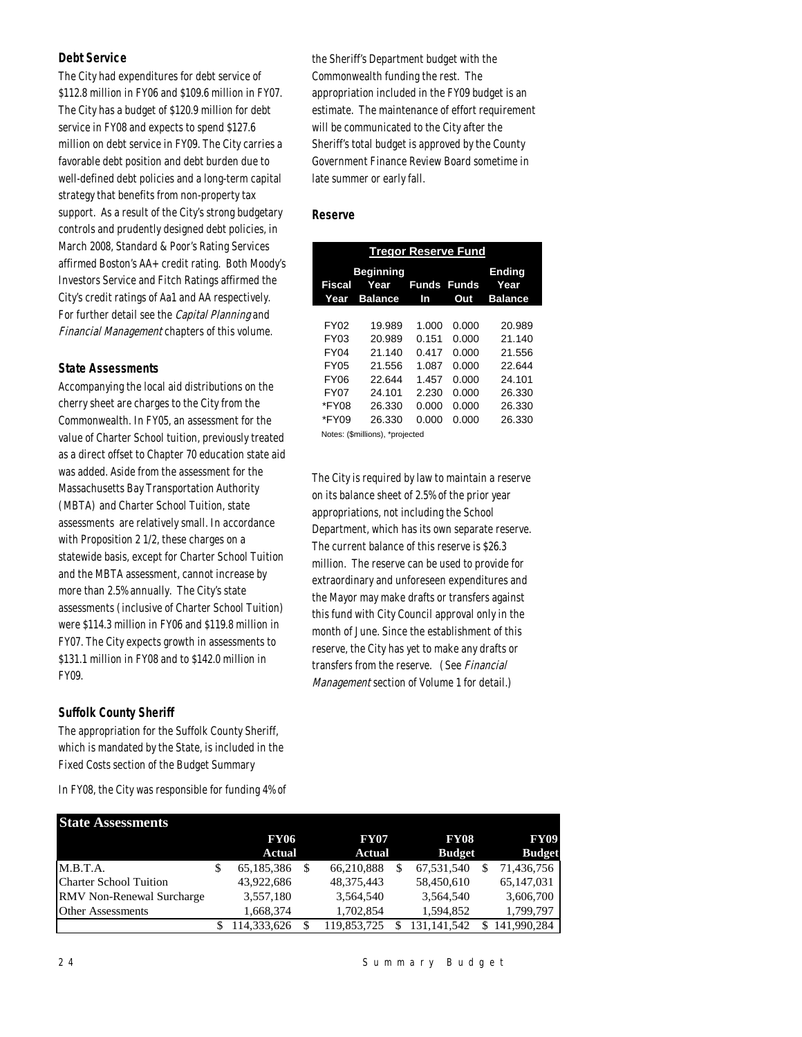## *Debt Service*

The City had expenditures for debt service of \$112.8 million in FY06 and \$109.6 million in FY07. The City has a budget of \$120.9 million for debt service in FY08 and expects to spend \$127.6 million on debt service in FY09. The City carries a favorable debt position and debt burden due to well-defined debt policies and a long-term capital strategy that benefits from non-property tax support. As a result of the City's strong budgetary controls and prudently designed debt policies, in March 2008, Standard & Poor's Rating Services affirmed Boston's AA+ credit rating. Both Moody's Investors Service and Fitch Ratings affirmed the City's credit ratings of Aa1 and AA respectively. For further detail see the *Capital Planning* and Financial Management chapters of this volume.

## *State Assessments*

Accompanying the local aid distributions on the cherry sheet are charges to the City from the Commonwealth. In FY05, an assessment for the value of Charter School tuition, previously treated as a direct offset to Chapter 70 education state aid was added. Aside from the assessment for the Massachusetts Bay Transportation Authority (MBTA) and Charter School Tuition, state assessments are relatively small. In accordance with Proposition 2 1/2, these charges on a statewide basis, except for Charter School Tuition and the MBTA assessment, cannot increase by more than 2.5% annually. The City's state assessments (inclusive of Charter School Tuition) were \$114.3 million in FY06 and \$119.8 million in FY07. The City expects growth in assessments to \$131.1 million in FY08 and to \$142.0 million in FY09.

## *Suffolk County Sheriff*

The appropriation for the Suffolk County Sheriff, which is mandated by the State, is included in the Fixed Costs section of the Budget Summary

In FY08, the City was responsible for funding 4% of

the Sheriff's Department budget with the Commonwealth funding the rest. The appropriation included in the FY09 budget is an estimate. The maintenance of effort requirement will be communicated to the City after the Sheriff's total budget is approved by the County Government Finance Review Board sometime in late summer or early fall.

## *Reserve*

|                                                                     | <b>Tregor Reserve Fund</b>                                         |                                                             |                                                             |                                                                    |  |  |  |  |
|---------------------------------------------------------------------|--------------------------------------------------------------------|-------------------------------------------------------------|-------------------------------------------------------------|--------------------------------------------------------------------|--|--|--|--|
| Fiscal<br>Year                                                      | <b>Beginning</b><br>Year<br><b>Balance</b>                         | Funds<br>In                                                 | <b>Funds</b><br>Out                                         | Ending<br>Year<br><b>Balance</b>                                   |  |  |  |  |
| FY02<br>FY03<br><b>FY04</b><br>FY05<br>FY06<br><b>FY07</b><br>*FY08 | 19.989<br>20.989<br>21.140<br>21.556<br>22.644<br>24.101<br>26.330 | 1.000<br>0.151<br>0.417<br>1.087<br>1.457<br>2.230<br>0.000 | 0.000<br>0.000<br>0.000<br>0.000<br>0.000<br>0.000<br>0.000 | 20.989<br>21.140<br>21.556<br>22.644<br>24.101<br>26.330<br>26.330 |  |  |  |  |
| *FY09                                                               | 26.330<br>Notes: (\$millions), *projected                          | 0.000                                                       | 0.000                                                       | 26.330                                                             |  |  |  |  |

The City is required by law to maintain a reserve on its balance sheet of 2.5% of the prior year appropriations, not including the School Department, which has its own separate reserve. The current balance of this reserve is \$26.3 million. The reserve can be used to provide for extraordinary and unforeseen expenditures and the Mayor may make drafts or transfers against this fund with City Council approval only in the month of June. Since the establishment of this reserve, the City has yet to make any drafts or transfers from the reserve. (See Financial Management section of Volume 1 for detail.)

| <b>State Assessments</b>         |                  |              |               |               |
|----------------------------------|------------------|--------------|---------------|---------------|
|                                  | <b>FY06</b>      | <b>FY07</b>  | <b>FY08</b>   | <b>FY09</b>   |
|                                  | Actual           | Actual       | <b>Budget</b> | <b>Budget</b> |
| M.B.T.A.                         | \$<br>65.185.386 | 66.210.888   | 67.531.540    | 71.436.756    |
| <b>Charter School Tuition</b>    | 43,922,686       | 48, 375, 443 | 58,450,610    | 65,147,031    |
| <b>RMV</b> Non-Renewal Surcharge | 3,557,180        | 3.564.540    | 3.564.540     | 3,606,700     |
| <b>Other Assessments</b>         | 1.668.374        | 1.702.854    | 1.594.852     | 1.799.797     |
|                                  | 114,333,626      | 119,853,725  | 131.141.542   | 141,990,284   |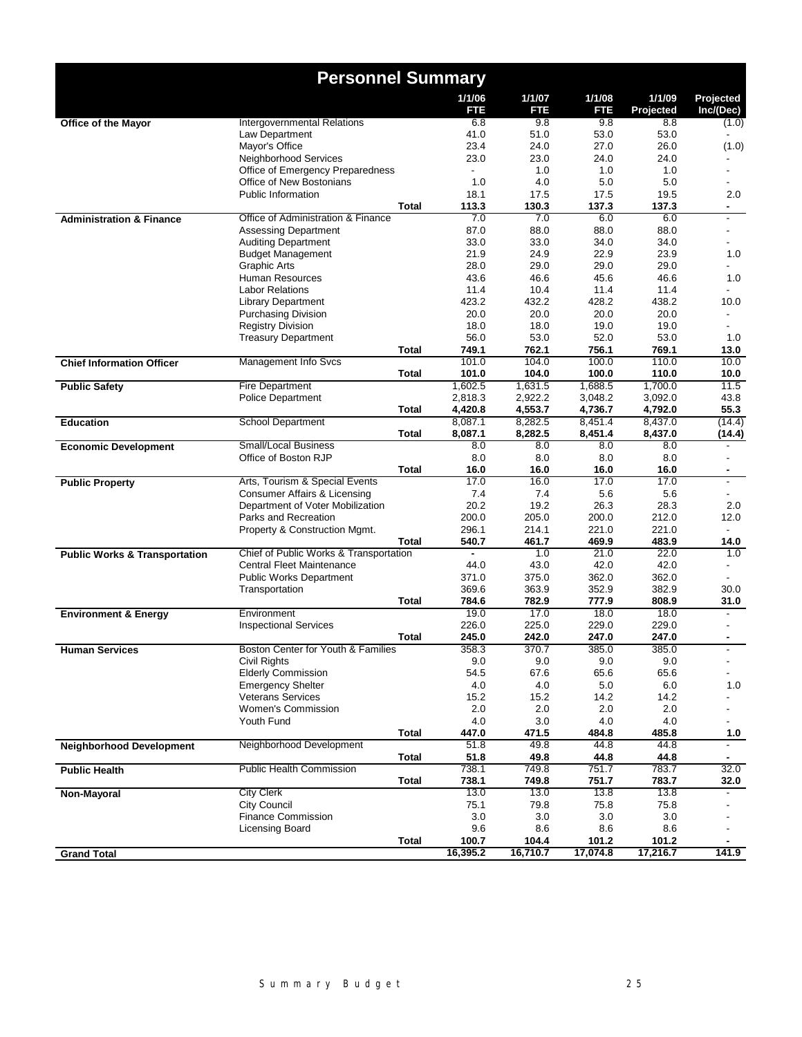|                                          | <b>Personnel Summary</b>                           |              |                |                    |                    |                     |                          |
|------------------------------------------|----------------------------------------------------|--------------|----------------|--------------------|--------------------|---------------------|--------------------------|
|                                          |                                                    |              | 1/1/06<br>FTE  | 1/1/07<br>FTE      | 1/1/08<br>FTE      | 1/1/09<br>Projected | Projected<br>Inc/(Dec)   |
| Office of the Mayor                      | Intergovernmental Relations                        |              | 6.8            | 9.8                | 9.8                | 8.8                 | (1.0)                    |
|                                          | Law Department                                     |              | 41.0           | 51.0               | 53.0               | 53.0                |                          |
|                                          | Mayor's Office                                     |              | 23.4           | 24.0               | 27.0               | 26.0                | (1.0)                    |
|                                          | Neighborhood Services                              |              | 23.0           | 23.0               | 24.0               | 24.0                |                          |
|                                          | Office of Emergency Preparedness                   |              |                | 1.0                | 1.0                | 1.0                 |                          |
|                                          | Office of New Bostonians                           |              | 1.0            | 4.0                | 5.0                | 5.0                 |                          |
|                                          | <b>Public Information</b>                          |              | 18.1<br>113.3  | 17.5<br>130.3      | 17.5<br>137.3      | 19.5<br>137.3       | 2.0                      |
| <b>Administration &amp; Finance</b>      | Office of Administration & Finance                 | <b>Total</b> | 7.0            | 7.0                | 6.0                | 6.0                 | $\overline{\phantom{0}}$ |
|                                          | <b>Assessing Department</b>                        |              | 87.0           | 88.0               | 88.0               | 88.0                | $\overline{\phantom{0}}$ |
|                                          | <b>Auditing Department</b>                         |              | 33.0           | 33.0               | 34.0               | 34.0                | $\overline{\phantom{0}}$ |
|                                          | <b>Budget Management</b>                           |              | 21.9           | 24.9               | 22.9               | 23.9                | 1.0                      |
|                                          | <b>Graphic Arts</b>                                |              | 28.0           | 29.0               | 29.0               | 29.0                |                          |
|                                          | Human Resources                                    |              | 43.6           | 46.6               | 45.6               | 46.6                | 1.0                      |
|                                          | <b>Labor Relations</b>                             |              | 11.4           | 10.4               | 11.4               | 11.4                |                          |
|                                          | <b>Library Department</b>                          |              | 423.2          | 432.2              | 428.2              | 438.2               | 10.0                     |
|                                          | <b>Purchasing Division</b>                         |              | 20.0           | 20.0               | 20.0               | 20.0                |                          |
|                                          | <b>Registry Division</b>                           |              | 18.0           | 18.0               | 19.0               | 19.0                |                          |
|                                          | <b>Treasury Department</b>                         |              | 56.0           | 53.0               | 52.0               | 53.0                | 1.0                      |
|                                          |                                                    | <b>Total</b> | 749.1          | 762.1              | 756.1              | 769.1               | 13.0                     |
| <b>Chief Information Officer</b>         | Management Info Svcs                               |              | 101.0          | 104.0              | 100.0              | 110.0               | 10.0                     |
|                                          |                                                    | Total        | 101.0          | 104.0              | 100.0              | 110.0               | 10.0                     |
| <b>Public Safety</b>                     | <b>Fire Department</b>                             |              | 1,602.5        | 1,631.5            | 1,688.5            | 1,700.0             | 11.5                     |
|                                          | <b>Police Department</b>                           |              | 2,818.3        | 2,922.2            | 3,048.2            | 3,092.0             | 43.8                     |
|                                          |                                                    | <b>Total</b> | 4,420.8        | 4,553.7            | 4,736.7            | 4,792.0             | 55.3                     |
| <b>Education</b>                         | <b>School Department</b>                           |              | 8,087.1        | 8,282.5<br>8,282.5 | 8,451.4<br>8,451.4 | 8,437.0             | (14.4)                   |
|                                          | <b>Small/Local Business</b>                        | Total        | 8,087.1<br>8.0 | 8.0                | 8.0                | 8,437.0<br>8.0      | (14.4)                   |
| <b>Economic Development</b>              | Office of Boston RJP                               |              | 8.0            | 8.0                | 8.0                | 8.0                 |                          |
|                                          |                                                    | <b>Total</b> | 16.0           | 16.0               | 16.0               | 16.0                | $\blacksquare$           |
| <b>Public Property</b>                   | Arts, Tourism & Special Events                     |              | 17.0           | 16.0               | 17.0               | 17.0                | $\overline{\phantom{0}}$ |
|                                          | Consumer Affairs & Licensing                       |              | 7.4            | 7.4                | 5.6                | 5.6                 | $\blacksquare$           |
|                                          | Department of Voter Mobilization                   |              | 20.2           | 19.2               | 26.3               | 28.3                | 2.0                      |
|                                          | Parks and Recreation                               |              | 200.0          | 205.0              | 200.0              | 212.0               | 12.0                     |
|                                          | Property & Construction Mgmt.                      |              | 296.1          | 214.1              | 221.0              | 221.0               |                          |
|                                          |                                                    | Total        | 540.7          | 461.7              | 469.9              | 483.9               | 14.0                     |
| <b>Public Works &amp; Transportation</b> | Chief of Public Works & Transportation             |              | $\blacksquare$ | 1.0                | 21.0               | 22.0                | 1.0                      |
|                                          | <b>Central Fleet Maintenance</b>                   |              | 44.0           | 43.0               | 42.0               | 42.0                | $\overline{\phantom{0}}$ |
|                                          | <b>Public Works Department</b>                     |              | 371.0          | 375.0              | 362.0              | 362.0               |                          |
|                                          | Transportation                                     |              | 369.6          | 363.9              | 352.9              | 382.9               | 30.0                     |
|                                          |                                                    | <b>Total</b> | 784.6          | 782.9              | 777.9              | 808.9               | 31.0                     |
| <b>Environment &amp; Energy</b>          | Environment                                        |              | 19.0           | 17.0               | 18.0               | 18.0                |                          |
|                                          | <b>Inspectional Services</b>                       |              | 226.0          | 225.0              | 229.0              | 229.0               |                          |
|                                          |                                                    | <b>Total</b> | 245.0<br>358.3 | 242.0<br>370.7     | 247.0<br>385.0     | 247.0<br>385.0      | ٠                        |
| <b>Human Services</b>                    | Boston Center for Youth & Families<br>Civil Rights |              | 9.0            | 9.0                | 9.0                | 9.0                 | $\overline{\phantom{0}}$ |
|                                          | <b>Elderly Commission</b>                          |              | 54.5           | 67.6               | 65.6               | 65.6                | Ξ.                       |
|                                          | <b>Emergency Shelter</b>                           |              | 4.0            | 4.0                | 5.0                | 6.0                 | 1.0                      |
|                                          | <b>Veterans Services</b>                           |              | 15.2           | 15.2               | 14.2               | 14.2                |                          |
|                                          | Women's Commission                                 |              | 2.0            | 2.0                | 2.0                | 2.0                 |                          |
|                                          | Youth Fund                                         |              | 4.0            | 3.0                | 4.0                | 4.0                 | $\overline{\phantom{0}}$ |
|                                          |                                                    | <b>Total</b> | 447.0          | 471.5              | 484.8              | 485.8               | 1.0                      |
| <b>Neighborhood Development</b>          | Neighborhood Development                           |              | 51.8           | 49.8               | 44.8               | 44.8                |                          |
|                                          |                                                    | <b>Total</b> | 51.8           | 49.8               | 44.8               | 44.8                |                          |
| <b>Public Health</b>                     | <b>Public Health Commission</b>                    |              | 738.1          | 749.8              | 751.7              | 783.7               | 32.0                     |
|                                          |                                                    | Total        | 738.1          | 749.8              | 751.7              | 783.7               | 32.0                     |
| <b>Non-Mayoral</b>                       | <b>City Clerk</b>                                  |              | 13.0           | 13.0               | 13.8               | 13.8                |                          |
|                                          | <b>City Council</b>                                |              | 75.1           | 79.8               | 75.8               | 75.8                |                          |
|                                          | <b>Finance Commission</b>                          |              | 3.0            | 3.0                | 3.0                | 3.0                 |                          |
|                                          | Licensing Board                                    |              | 9.6            | 8.6                | 8.6                | 8.6                 |                          |
|                                          |                                                    | Total        | 100.7          | 104.4              | 101.2              | 101.2               |                          |
| <b>Grand Total</b>                       |                                                    |              | 16,395.2       | 16,710.7           | 17,074.8           | 17,216.7            | 141.9                    |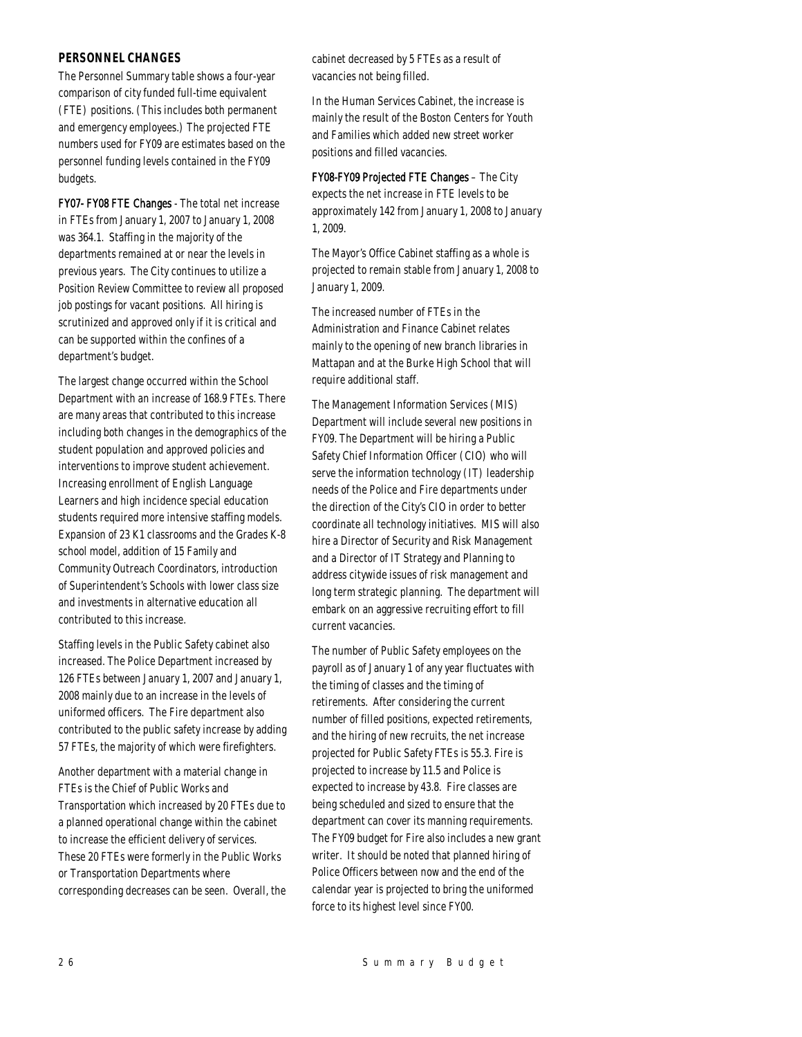## *PERSONNEL CHANGES*

The Personnel Summary table shows a four-year comparison of city funded full-time equivalent (FTE) positions. (This includes both permanent and emergency employees.) The projected FTE numbers used for FY09 are estimates based on the personnel funding levels contained in the FY09 budgets.

FY07- FY08 FTE Changes - The total net increase in FTEs from January 1, 2007 to January 1, 2008 was 364.1. Staffing in the majority of the departments remained at or near the levels in previous years. The City continues to utilize a Position Review Committee to review all proposed job postings for vacant positions. All hiring is scrutinized and approved only if it is critical and can be supported within the confines of a department's budget.

The largest change occurred within the School Department with an increase of 168.9 FTEs. There are many areas that contributed to this increase including both changes in the demographics of the student population and approved policies and interventions to improve student achievement. Increasing enrollment of English Language Learners and high incidence special education students required more intensive staffing models. Expansion of 23 K1 classrooms and the Grades K-8 school model, addition of 15 Family and Community Outreach Coordinators, introduction of Superintendent's Schools with lower class size and investments in alternative education all contributed to this increase.

Staffing levels in the Public Safety cabinet also increased. The Police Department increased by 126 FTEs between January 1, 2007 and January 1, 2008 mainly due to an increase in the levels of uniformed officers. The Fire department also contributed to the public safety increase by adding 57 FTEs, the majority of which were firefighters.

Another department with a material change in FTEs is the Chief of Public Works and Transportation which increased by 20 FTEs due to a planned operational change within the cabinet to increase the efficient delivery of services. These 20 FTEs were formerly in the Public Works or Transportation Departments where corresponding decreases can be seen. Overall, the cabinet decreased by 5 FTEs as a result of vacancies not being filled.

In the Human Services Cabinet, the increase is mainly the result of the Boston Centers for Youth and Families which added new street worker positions and filled vacancies.

FY08-FY09 Projected FTE Changes – The City expects the net increase in FTE levels to be approximately 142 from January 1, 2008 to January 1, 2009.

The Mayor's Office Cabinet staffing as a whole is projected to remain stable from January 1, 2008 to January 1, 2009.

The increased number of FTEs in the Administration and Finance Cabinet relates mainly to the opening of new branch libraries in Mattapan and at the Burke High School that will require additional staff.

The Management Information Services (MIS) Department will include several new positions in FY09. The Department will be hiring a Public Safety Chief Information Officer (CIO) who will serve the information technology (IT) leadership needs of the Police and Fire departments under the direction of the City's CIO in order to better coordinate all technology initiatives. MIS will also hire a Director of Security and Risk Management and a Director of IT Strategy and Planning to address citywide issues of risk management and long term strategic planning. The department will embark on an aggressive recruiting effort to fill current vacancies.

The number of Public Safety employees on the payroll as of January 1 of any year fluctuates with the timing of classes and the timing of retirements. After considering the current number of filled positions, expected retirements, and the hiring of new recruits, the net increase projected for Public Safety FTEs is 55.3. Fire is projected to increase by 11.5 and Police is expected to increase by 43.8. Fire classes are being scheduled and sized to ensure that the department can cover its manning requirements. The FY09 budget for Fire also includes a new grant writer. It should be noted that planned hiring of Police Officers between now and the end of the calendar year is projected to bring the uniformed force to its highest level since FY00.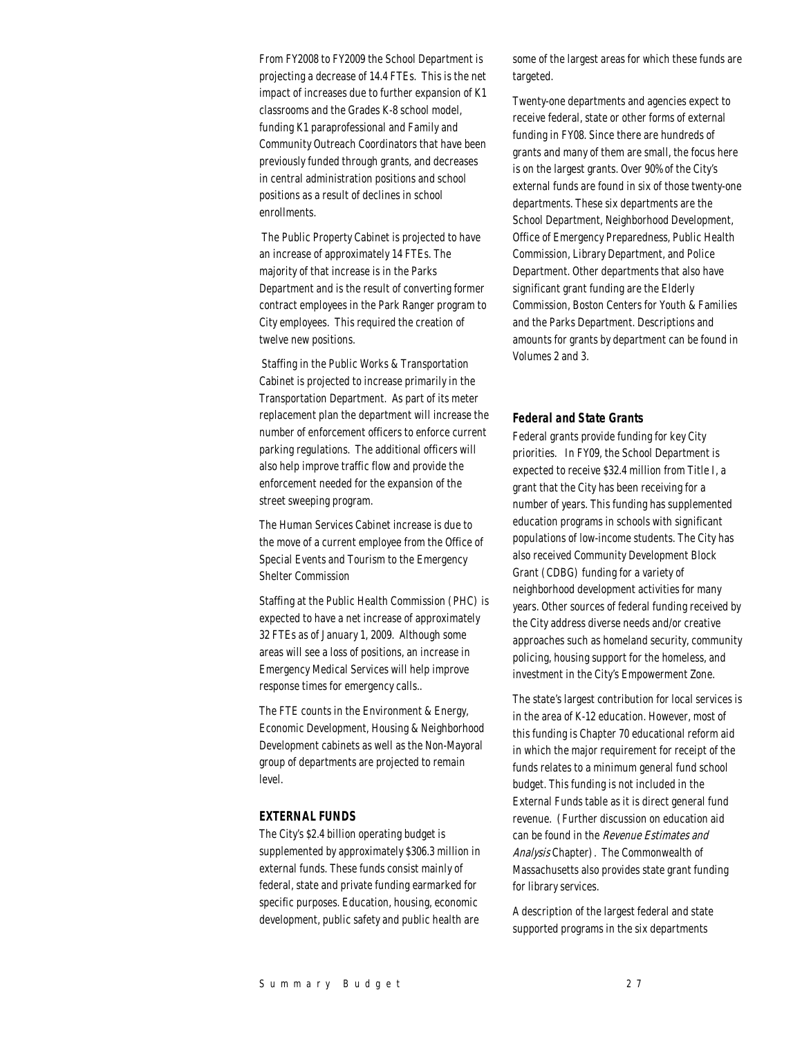From FY2008 to FY2009 the School Department is projecting a decrease of 14.4 FTEs. This is the net impact of increases due to further expansion of K1 classrooms and the Grades K-8 school model, funding K1 paraprofessional and Family and Community Outreach Coordinators that have been previously funded through grants, and decreases in central administration positions and school positions as a result of declines in school enrollments.

 The Public Property Cabinet is projected to have an increase of approximately 14 FTEs. The majority of that increase is in the Parks Department and is the result of converting former contract employees in the Park Ranger program to City employees. This required the creation of twelve new positions.

 Staffing in the Public Works & Transportation Cabinet is projected to increase primarily in the Transportation Department. As part of its meter replacement plan the department will increase the number of enforcement officers to enforce current parking regulations. The additional officers will also help improve traffic flow and provide the enforcement needed for the expansion of the street sweeping program.

The Human Services Cabinet increase is due to the move of a current employee from the Office of Special Events and Tourism to the Emergency Shelter Commission

Staffing at the Public Health Commission (PHC) is expected to have a net increase of approximately 32 FTEs as of January 1, 2009. Although some areas will see a loss of positions, an increase in Emergency Medical Services will help improve response times for emergency calls..

The FTE counts in the Environment & Energy, Economic Development, Housing & Neighborhood Development cabinets as well as the Non-Mayoral group of departments are projected to remain level.

#### *EXTERNAL FUNDS*

The City's \$2.4 billion operating budget is supplemented by approximately \$306.3 million in external funds. These funds consist mainly of federal, state and private funding earmarked for specific purposes. Education, housing, economic development, public safety and public health are

some of the largest areas for which these funds are targeted.

Twenty-one departments and agencies expect to receive federal, state or other forms of external funding in FY08. Since there are hundreds of grants and many of them are small, the focus here is on the largest grants. Over 90% of the City's external funds are found in six of those twenty-one departments. These six departments are the School Department, Neighborhood Development, Office of Emergency Preparedness, Public Health Commission, Library Department, and Police Department. Other departments that also have significant grant funding are the Elderly Commission, Boston Centers for Youth & Families and the Parks Department. Descriptions and amounts for grants by department can be found in Volumes 2 and 3.

#### *Federal and State Grants*

Federal grants provide funding for key City priorities. In FY09, the School Department is expected to receive \$32.4 million from Title I, a grant that the City has been receiving for a number of years. This funding has supplemented education programs in schools with significant populations of low-income students. The City has also received Community Development Block Grant (CDBG) funding for a variety of neighborhood development activities for many years. Other sources of federal funding received by the City address diverse needs and/or creative approaches such as homeland security, community policing, housing support for the homeless, and investment in the City's Empowerment Zone.

The state's largest contribution for local services is in the area of K-12 education. However, most of this funding is Chapter 70 educational reform aid in which the major requirement for receipt of the funds relates to a minimum general fund school budget. This funding is not included in the External Funds table as it is direct general fund revenue. (Further discussion on education aid can be found in the Revenue Estimates and Analysis Chapter). The Commonwealth of Massachusetts also provides state grant funding for library services.

A description of the largest federal and state supported programs in the six departments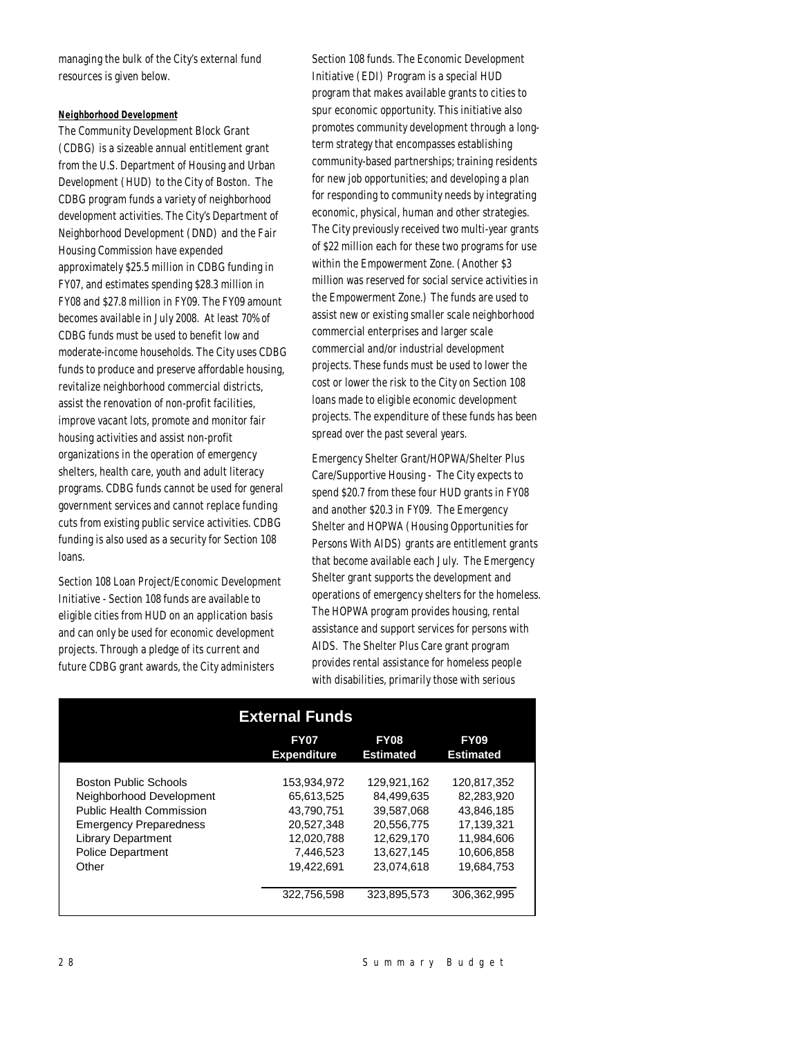managing the bulk of the City's external fund resources is given below.

#### *Neighborhood Development*

The Community Development Block Grant (CDBG) is a sizeable annual entitlement grant from the U.S. Department of Housing and Urban Development (HUD) to the City of Boston. The CDBG program funds a variety of neighborhood development activities. The City's Department of Neighborhood Development (DND) and the Fair Housing Commission have expended approximately \$25.5 million in CDBG funding in FY07, and estimates spending \$28.3 million in FY08 and \$27.8 million in FY09. The FY09 amount becomes available in July 2008. At least 70% of CDBG funds must be used to benefit low and moderate-income households. The City uses CDBG funds to produce and preserve affordable housing, revitalize neighborhood commercial districts, assist the renovation of non-profit facilities, improve vacant lots, promote and monitor fair housing activities and assist non-profit organizations in the operation of emergency shelters, health care, youth and adult literacy programs. CDBG funds cannot be used for general government services and cannot replace funding cuts from existing public service activities. CDBG funding is also used as a security for Section 108 loans.

Section 108 Loan Project/Economic Development Initiative - Section 108 funds are available to eligible cities from HUD on an application basis and can only be used for economic development projects. Through a pledge of its current and future CDBG grant awards, the City administers

Section 108 funds. The Economic Development Initiative (EDI) Program is a special HUD program that makes available grants to cities to spur economic opportunity. This initiative also promotes community development through a longterm strategy that encompasses establishing community-based partnerships; training residents for new job opportunities; and developing a plan for responding to community needs by integrating economic, physical, human and other strategies. The City previously received two multi-year grants of \$22 million each for these two programs for use within the Empowerment Zone. (Another \$3 million was reserved for social service activities in the Empowerment Zone.) The funds are used to assist new or existing smaller scale neighborhood commercial enterprises and larger scale commercial and/or industrial development projects. These funds must be used to lower the cost or lower the risk to the City on Section 108 loans made to eligible economic development projects. The expenditure of these funds has been spread over the past several years.

Emergency Shelter Grant/HOPWA/Shelter Plus Care/Supportive Housing - The City expects to spend \$20.7 from these four HUD grants in FY08 and another \$20.3 in FY09. The Emergency Shelter and HOPWA (Housing Opportunities for Persons With AIDS) grants are entitlement grants that become available each July. The Emergency Shelter grant supports the development and operations of emergency shelters for the homeless. The HOPWA program provides housing, rental assistance and support services for persons with AIDS. The Shelter Plus Care grant program provides rental assistance for homeless people with disabilities, primarily those with serious

|                                 | <b>External Funds</b>             |                                 |                                 |  |
|---------------------------------|-----------------------------------|---------------------------------|---------------------------------|--|
|                                 | <b>FY07</b><br><b>Expenditure</b> | <b>FY08</b><br><b>Estimated</b> | <b>FY09</b><br><b>Estimated</b> |  |
|                                 |                                   |                                 |                                 |  |
| <b>Boston Public Schools</b>    | 153.934.972                       | 129.921.162                     | 120.817.352                     |  |
| Neighborhood Development        | 65.613.525                        | 84.499.635                      | 82.283.920                      |  |
| <b>Public Health Commission</b> | 43.790.751                        | 39.587.068                      | 43.846.185                      |  |
| <b>Emergency Preparedness</b>   | 20.527.348                        | 20.556.775                      | 17.139.321                      |  |
| <b>Library Department</b>       | 12.020.788                        | 12.629.170                      | 11.984.606                      |  |
| <b>Police Department</b>        | 7.446.523                         | 13.627.145                      | 10.606.858                      |  |
| Other                           | 19.422.691                        | 23.074.618                      | 19.684.753                      |  |
|                                 | 322,756,598                       | 323.895.573                     | 306.362.995                     |  |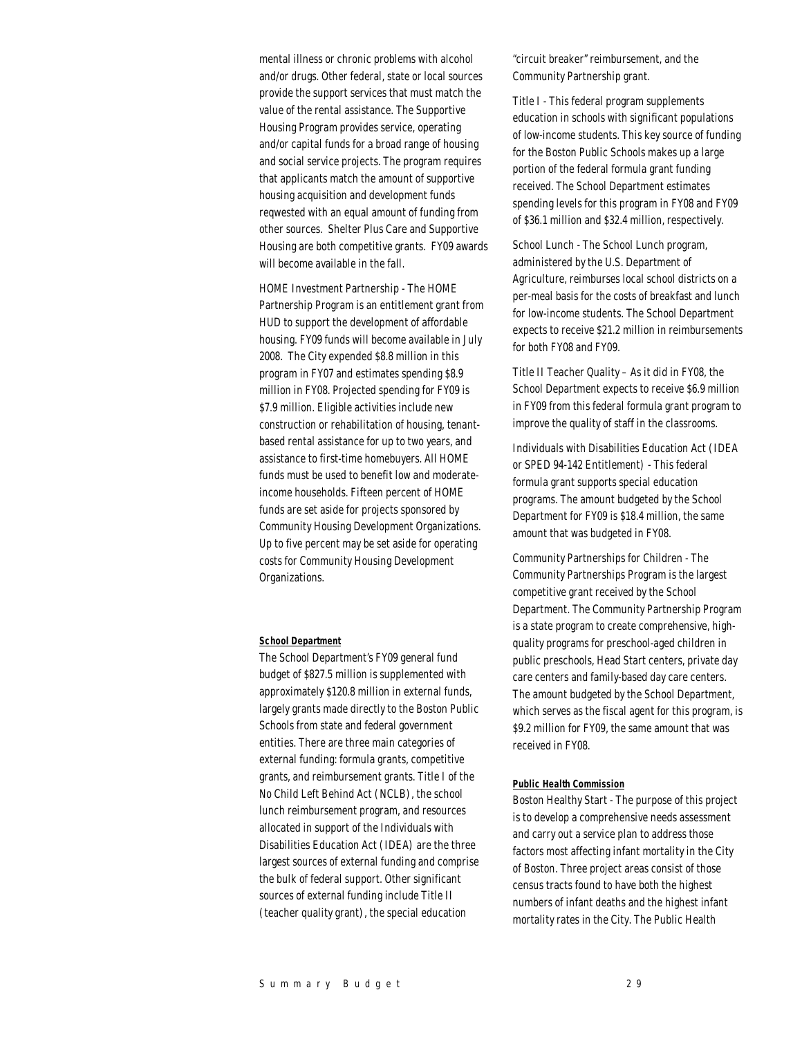mental illness or chronic problems with alcohol and/or drugs. Other federal, state or local sources provide the support services that must match the value of the rental assistance. The Supportive Housing Program provides service, operating and/or capital funds for a broad range of housing and social service projects. The program requires that applicants match the amount of supportive housing acquisition and development funds reqwested with an equal amount of funding from other sources. Shelter Plus Care and Supportive Housing are both competitive grants. FY09 awards will become available in the fall.

HOME Investment Partnership - The HOME Partnership Program is an entitlement grant from HUD to support the development of affordable housing. FY09 funds will become available in July 2008. The City expended \$8.8 million in this program in FY07 and estimates spending \$8.9 million in FY08. Projected spending for FY09 is \$7.9 million. Eligible activities include new construction or rehabilitation of housing, tenantbased rental assistance for up to two years, and assistance to first-time homebuyers. All HOME funds must be used to benefit low and moderateincome households. Fifteen percent of HOME funds are set aside for projects sponsored by Community Housing Development Organizations. Up to five percent may be set aside for operating costs for Community Housing Development Organizations.

#### *School Department*

The School Department's FY09 general fund budget of \$827.5 million is supplemented with approximately \$120.8 million in external funds, largely grants made directly to the Boston Public Schools from state and federal government entities. There are three main categories of external funding: formula grants, competitive grants, and reimbursement grants. Title I of the No Child Left Behind Act (NCLB), the school lunch reimbursement program, and resources allocated in support of the Individuals with Disabilities Education Act (IDEA) are the three largest sources of external funding and comprise the bulk of federal support. Other significant sources of external funding include Title II (teacher quality grant), the special education

"circuit breaker" reimbursement, and the Community Partnership grant.

Title I - This federal program supplements education in schools with significant populations of low-income students. This key source of funding for the Boston Public Schools makes up a large portion of the federal formula grant funding received. The School Department estimates spending levels for this program in FY08 and FY09 of \$36.1 million and \$32.4 million, respectively.

School Lunch - The School Lunch program, administered by the U.S. Department of Agriculture, reimburses local school districts on a per-meal basis for the costs of breakfast and lunch for low-income students. The School Department expects to receive \$21.2 million in reimbursements for both FY08 and FY09.

Title II Teacher Quality – As it did in FY08, the School Department expects to receive \$6.9 million in FY09 from this federal formula grant program to improve the quality of staff in the classrooms.

Individuals with Disabilities Education Act (IDEA or SPED 94-142 Entitlement) - This federal formula grant supports special education programs. The amount budgeted by the School Department for FY09 is \$18.4 million, the same amount that was budgeted in FY08.

Community Partnerships for Children - The Community Partnerships Program is the largest competitive grant received by the School Department. The Community Partnership Program is a state program to create comprehensive, highquality programs for preschool-aged children in public preschools, Head Start centers, private day care centers and family-based day care centers. The amount budgeted by the School Department, which serves as the fiscal agent for this program, is \$9.2 million for FY09, the same amount that was received in FY08.

#### *Public Health Commission*

Boston Healthy Start - The purpose of this project is to develop a comprehensive needs assessment and carry out a service plan to address those factors most affecting infant mortality in the City of Boston. Three project areas consist of those census tracts found to have both the highest numbers of infant deaths and the highest infant mortality rates in the City. The Public Health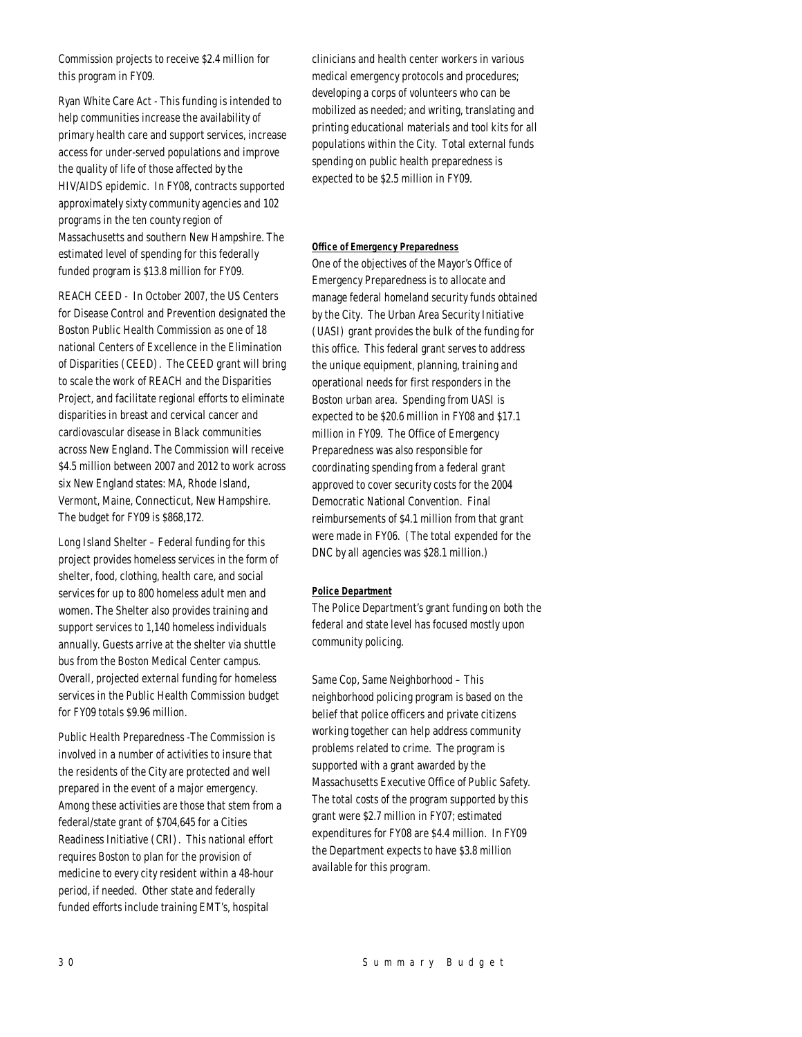Commission projects to receive \$2.4 million for this program in FY09.

Ryan White Care Act - This funding is intended to help communities increase the availability of primary health care and support services, increase access for under-served populations and improve the quality of life of those affected by the HIV/AIDS epidemic. In FY08, contracts supported approximately sixty community agencies and 102 programs in the ten county region of Massachusetts and southern New Hampshire. The estimated level of spending for this federally funded program is \$13.8 million for FY09.

REACH CEED - In October 2007, the US Centers for Disease Control and Prevention designated the Boston Public Health Commission as one of 18 national Centers of Excellence in the Elimination of Disparities (CEED). The CEED grant will bring to scale the work of REACH and the Disparities Project, and facilitate regional efforts to eliminate disparities in breast and cervical cancer and cardiovascular disease in Black communities across New England. The Commission will receive \$4.5 million between 2007 and 2012 to work across six New England states: MA, Rhode Island, Vermont, Maine, Connecticut, New Hampshire. The budget for FY09 is \$868,172.

Long Island Shelter – Federal funding for this project provides homeless services in the form of shelter, food, clothing, health care, and social services for up to 800 homeless adult men and women. The Shelter also provides training and support services to 1,140 homeless individuals annually. Guests arrive at the shelter via shuttle bus from the Boston Medical Center campus. Overall, projected external funding for homeless services in the Public Health Commission budget for FY09 totals \$9.96 million.

Public Health Preparedness -The Commission is involved in a number of activities to insure that the residents of the City are protected and well prepared in the event of a major emergency. Among these activities are those that stem from a federal/state grant of \$704,645 for a Cities Readiness Initiative (CRI). This national effort requires Boston to plan for the provision of medicine to every city resident within a 48-hour period, if needed. Other state and federally funded efforts include training EMT's, hospital

clinicians and health center workers in various medical emergency protocols and procedures; developing a corps of volunteers who can be mobilized as needed; and writing, translating and printing educational materials and tool kits for all populations within the City. Total external funds spending on public health preparedness is expected to be \$2.5 million in FY09.

## *Office of Emergency Preparedness*

One of the objectives of the Mayor's Office of Emergency Preparedness is to allocate and manage federal homeland security funds obtained by the City. The Urban Area Security Initiative (UASI) grant provides the bulk of the funding for this office. This federal grant serves to address the unique equipment, planning, training and operational needs for first responders in the Boston urban area. Spending from UASI is expected to be \$20.6 million in FY08 and \$17.1 million in FY09. The Office of Emergency Preparedness was also responsible for coordinating spending from a federal grant approved to cover security costs for the 2004 Democratic National Convention. Final reimbursements of \$4.1 million from that grant were made in FY06. (The total expended for the DNC by all agencies was \$28.1 million.)

#### *Police Department*

The Police Department's grant funding on both the federal and state level has focused mostly upon community policing.

Same Cop, Same Neighborhood – This neighborhood policing program is based on the belief that police officers and private citizens working together can help address community problems related to crime. The program is supported with a grant awarded by the Massachusetts Executive Office of Public Safety. The total costs of the program supported by this grant were \$2.7 million in FY07; estimated expenditures for FY08 are \$4.4 million. In FY09 the Department expects to have \$3.8 million available for this program.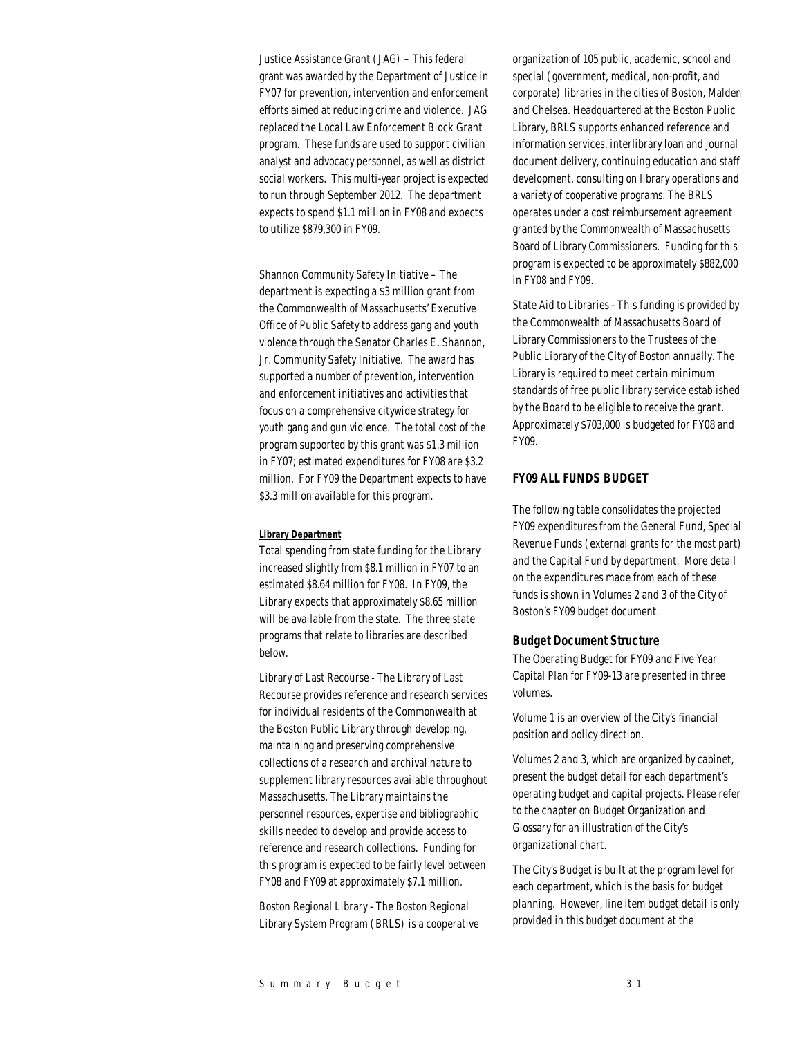Justice Assistance Grant (JAG) – This federal grant was awarded by the Department of Justice in FY07 for prevention, intervention and enforcement efforts aimed at reducing crime and violence. JAG replaced the Local Law Enforcement Block Grant program. These funds are used to support civilian analyst and advocacy personnel, as well as district social workers. This multi-year project is expected to run through September 2012. The department expects to spend \$1.1 million in FY08 and expects to utilize \$879,300 in FY09.

Shannon Community Safety Initiative – The department is expecting a \$3 million grant from the Commonwealth of Massachusetts' Executive Office of Public Safety to address gang and youth violence through the Senator Charles E. Shannon, Jr. Community Safety Initiative. The award has supported a number of prevention, intervention and enforcement initiatives and activities that focus on a comprehensive citywide strategy for youth gang and gun violence. The total cost of the program supported by this grant was \$1.3 million in FY07; estimated expenditures for FY08 are \$3.2 million. For FY09 the Department expects to have \$3.3 million available for this program.

#### *Library Department*

Total spending from state funding for the Library increased slightly from \$8.1 million in FY07 to an estimated \$8.64 million for FY08. In FY09, the Library expects that approximately \$8.65 million will be available from the state. The three state programs that relate to libraries are described below.

Library of Last Recourse - The Library of Last Recourse provides reference and research services for individual residents of the Commonwealth at the Boston Public Library through developing, maintaining and preserving comprehensive collections of a research and archival nature to supplement library resources available throughout Massachusetts. The Library maintains the personnel resources, expertise and bibliographic skills needed to develop and provide access to reference and research collections. Funding for this program is expected to be fairly level between FY08 and FY09 at approximately \$7.1 million.

Boston Regional Library - The Boston Regional Library System Program (BRLS) is a cooperative organization of 105 public, academic, school and special (government, medical, non-profit, and corporate) libraries in the cities of Boston, Malden and Chelsea. Headquartered at the Boston Public Library, BRLS supports enhanced reference and information services, interlibrary loan and journal document delivery, continuing education and staff development, consulting on library operations and a variety of cooperative programs. The BRLS operates under a cost reimbursement agreement granted by the Commonwealth of Massachusetts Board of Library Commissioners. Funding for this program is expected to be approximately \$882,000 in FY08 and FY09.

State Aid to Libraries - This funding is provided by the Commonwealth of Massachusetts Board of Library Commissioners to the Trustees of the Public Library of the City of Boston annually. The Library is required to meet certain minimum standards of free public library service established by the Board to be eligible to receive the grant. Approximately \$703,000 is budgeted for FY08 and FY09.

## *FY09 ALL FUNDS BUDGET*

The following table consolidates the projected FY09 expenditures from the General Fund, Special Revenue Funds (external grants for the most part) and the Capital Fund by department. More detail on the expenditures made from each of these funds is shown in Volumes 2 and 3 of the City of Boston's FY09 budget document.

#### *Budget Document Structure*

The Operating Budget for FY09 and Five Year Capital Plan for FY09-13 are presented in three volumes.

Volume 1 is an overview of the City's financial position and policy direction.

Volumes 2 and 3, which are organized by cabinet, present the budget detail for each department's operating budget and capital projects. Please refer to the chapter on Budget Organization and Glossary for an illustration of the City's organizational chart.

The City's Budget is built at the program level for each department, which is the basis for budget planning. However, line item budget detail is only provided in this budget document at the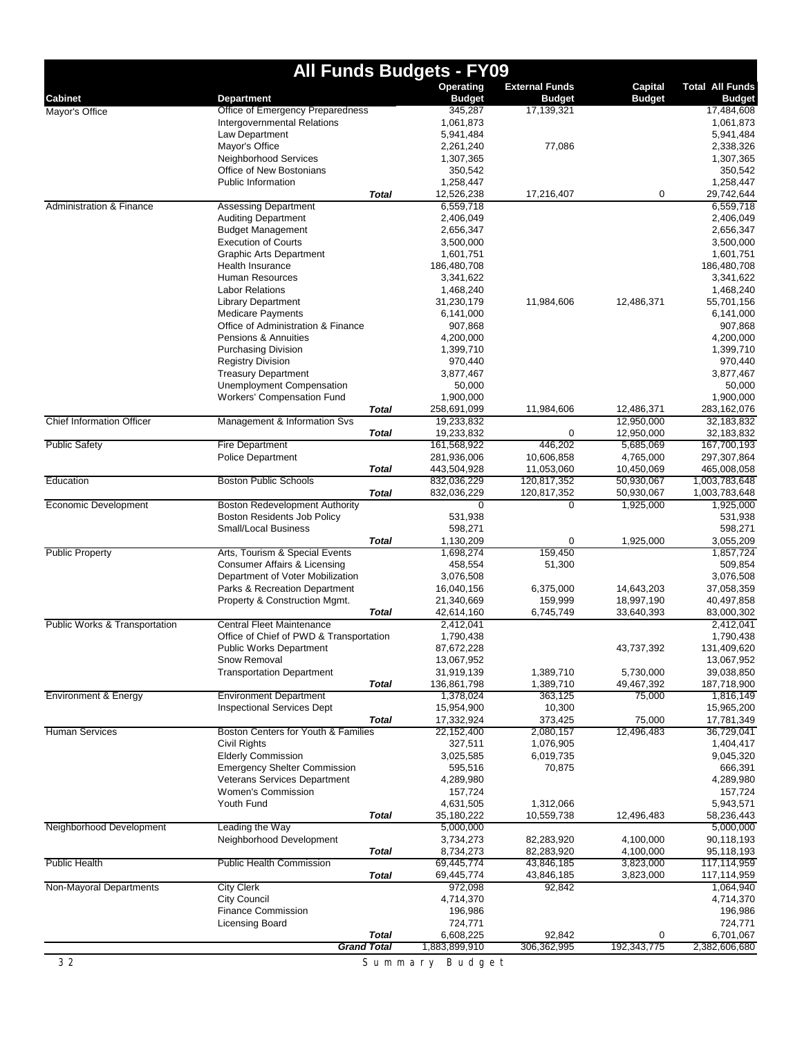|                                          |                                                        |              | <b>All Funds Budgets - FY09</b> |                                        |                          |                                         |
|------------------------------------------|--------------------------------------------------------|--------------|---------------------------------|----------------------------------------|--------------------------|-----------------------------------------|
| <b>Cabinet</b>                           | <b>Department</b>                                      |              | Operating<br><b>Budget</b>      | <b>External Funds</b><br><b>Budget</b> | Capital<br><b>Budget</b> | <b>Total All Funds</b><br><b>Budget</b> |
| Mayor's Office                           | Office of Emergency Preparedness                       |              | 345,287                         | 17,139,321                             |                          | 17,484,608                              |
|                                          | Intergovernmental Relations                            |              | 1,061,873                       |                                        |                          | 1,061,873                               |
|                                          | Law Department                                         |              | 5,941,484                       |                                        |                          | 5,941,484                               |
|                                          | Mayor's Office                                         |              | 2,261,240                       | 77,086                                 |                          | 2,338,326                               |
|                                          | Neighborhood Services                                  |              | 1,307,365                       |                                        |                          | 1,307,365                               |
|                                          | Office of New Bostonians                               |              | 350,542                         |                                        |                          | 350,542                                 |
|                                          | <b>Public Information</b>                              |              | 1,258,447                       |                                        |                          | 1,258,447                               |
|                                          |                                                        | <b>Total</b> | 12,526,238                      | 17,216,407                             | 0                        | 29,742,644                              |
| <b>Administration &amp; Finance</b>      | <b>Assessing Department</b>                            |              | 6,559,718                       |                                        |                          | 6,559,718                               |
|                                          | <b>Auditing Department</b><br><b>Budget Management</b> |              | 2,406,049<br>2,656,347          |                                        |                          | 2,406,049<br>2,656,347                  |
|                                          | <b>Execution of Courts</b>                             |              | 3,500,000                       |                                        |                          | 3,500,000                               |
|                                          | <b>Graphic Arts Department</b>                         |              | 1,601,751                       |                                        |                          | 1,601,751                               |
|                                          | <b>Health Insurance</b>                                |              | 186,480,708                     |                                        |                          | 186,480,708                             |
|                                          | Human Resources                                        |              | 3,341,622                       |                                        |                          | 3,341,622                               |
|                                          | <b>Labor Relations</b>                                 |              | 1,468,240                       |                                        |                          | 1,468,240                               |
|                                          | <b>Library Department</b>                              |              | 31,230,179                      | 11,984,606                             | 12,486,371               | 55,701,156                              |
|                                          | <b>Medicare Payments</b>                               |              | 6,141,000                       |                                        |                          | 6,141,000                               |
|                                          | Office of Administration & Finance                     |              | 907,868                         |                                        |                          | 907,868                                 |
|                                          | Pensions & Annuities                                   |              | 4,200,000                       |                                        |                          | 4,200,000                               |
|                                          | <b>Purchasing Division</b>                             |              | 1,399,710                       |                                        |                          | 1,399,710                               |
|                                          | <b>Registry Division</b>                               |              | 970,440                         |                                        |                          | 970,440                                 |
|                                          | <b>Treasury Department</b>                             |              | 3,877,467                       |                                        |                          | 3,877,467                               |
|                                          | Unemployment Compensation                              |              | 50,000                          |                                        |                          | 50,000                                  |
|                                          | Workers' Compensation Fund                             |              | 1,900,000                       |                                        |                          | 1,900,000                               |
|                                          |                                                        | <b>Total</b> | 258,691,099                     | 11,984,606                             | 12,486,371               | 283,162,076                             |
| <b>Chief Information Officer</b>         | Management & Information Svs                           |              | 19,233,832                      |                                        | 12,950,000               | 32,183,832                              |
|                                          |                                                        | <b>Total</b> | 19,233,832                      | 0                                      | 12,950,000               | 32,183,832                              |
| <b>Public Safety</b>                     | Fire Department                                        |              | 161,568,922                     | 446,202                                | 5,685,069                | 167,700,193                             |
|                                          | <b>Police Department</b>                               | <b>Total</b> | 281,936,006                     | 10,606,858                             | 4,765,000                | 297,307,864                             |
| Education                                | <b>Boston Public Schools</b>                           |              | 443,504,928<br>832,036,229      | 11,053,060<br>120,817,352              | 10,450,069<br>50,930,067 | 465,008,058<br>1,003,783,648            |
|                                          |                                                        | <b>Total</b> | 832,036,229                     | 120,817,352                            | 50,930,067               | 1,003,783,648                           |
| <b>Economic Development</b>              | <b>Boston Redevelopment Authority</b>                  |              | $\overline{0}$                  | 0                                      | 1,925,000                | 1,925,000                               |
|                                          | Boston Residents Job Policy                            |              | 531,938                         |                                        |                          | 531,938                                 |
|                                          | <b>Small/Local Business</b>                            |              | 598,271                         |                                        |                          | 598,271                                 |
|                                          |                                                        | <b>Total</b> | 1,130,209                       | 0                                      | 1,925,000                | 3,055,209                               |
| <b>Public Property</b>                   | Arts, Tourism & Special Events                         |              | 1,698,274                       | 159,450                                |                          | 1,857,724                               |
|                                          | Consumer Affairs & Licensing                           |              | 458,554                         | 51,300                                 |                          | 509,854                                 |
|                                          | Department of Voter Mobilization                       |              | 3,076,508                       |                                        |                          | 3,076,508                               |
|                                          | Parks & Recreation Department                          |              | 16,040,156                      | 6,375,000                              | 14,643,203               | 37,058,359                              |
|                                          | Property & Construction Mgmt.                          |              | 21,340,669                      | 159,999                                | 18,997,190               | 40,497,858                              |
|                                          |                                                        | Total        | 42,614,160                      | 6,745,749                              | 33,640,393               | 83,000,302                              |
| <b>Public Works &amp; Transportation</b> | Central Fleet Maintenance                              |              | 2,412,041                       |                                        |                          | 2,412,041                               |
|                                          | Office of Chief of PWD & Transportation                |              | 1,790,438                       |                                        |                          | 1,790,438                               |
|                                          | Public Works Department                                |              | 87,672,228                      |                                        | 43,737,392               | 131,409,620                             |
|                                          | Snow Removal                                           |              | 13,067,952                      |                                        |                          | 13,067,952                              |
|                                          | <b>Transportation Department</b>                       |              | 31,919,139                      | 1,389,710                              | 5,730,000                | 39,038,850                              |
|                                          |                                                        | <b>Total</b> | 136,861,798                     | 1,389,710                              | 49,467,392               | 187,718,900                             |
| <b>Environment &amp; Energy</b>          | <b>Environment Department</b>                          |              | 1,378,024                       | 363,125                                | 75,000                   | 1,816,149                               |
|                                          | <b>Inspectional Services Dept</b>                      |              | 15,954,900                      | 10,300                                 |                          | 15,965,200                              |
| <b>Human Services</b>                    | Boston Centers for Youth & Families                    | <b>Total</b> | 17,332,924<br>22,152,400        | 373,425<br>2,080,157                   | 75,000<br>12,496,483     | 17,781,349<br>36,729,041                |
|                                          | Civil Rights                                           |              | 327,511                         | 1,076,905                              |                          | 1,404,417                               |
|                                          | <b>Elderly Commission</b>                              |              | 3,025,585                       | 6,019,735                              |                          | 9,045,320                               |
|                                          | <b>Emergency Shelter Commission</b>                    |              | 595,516                         | 70,875                                 |                          | 666,391                                 |
|                                          | Veterans Services Department                           |              | 4,289,980                       |                                        |                          | 4,289,980                               |
|                                          | Women's Commission                                     |              | 157,724                         |                                        |                          | 157,724                                 |
|                                          | Youth Fund                                             |              | 4,631,505                       | 1,312,066                              |                          | 5,943,571                               |
|                                          |                                                        | <b>Total</b> | 35,180,222                      | 10,559,738                             | 12,496,483               | 58,236,443                              |
| Neighborhood Development                 | Leading the Way                                        |              | 5,000,000                       |                                        |                          | 5,000,000                               |
|                                          | Neighborhood Development                               |              | 3,734,273                       | 82,283,920                             | 4,100,000                | 90,118,193                              |
|                                          |                                                        | <b>Total</b> | 8,734,273                       | 82,283,920                             | 4,100,000                | 95,118,193                              |
| <b>Public Health</b>                     | <b>Public Health Commission</b>                        |              | 69,445,774                      | 43,846,185                             | 3,823,000                | 117,114,959                             |
|                                          |                                                        | Total        | 69,445,774                      | 43,846,185                             | 3,823,000                | 117,114,959                             |
| Non-Mayoral Departments                  | <b>City Clerk</b>                                      |              | 972,098                         | 92,842                                 |                          | 1,064,940                               |
|                                          | <b>City Council</b>                                    |              | 4,714,370                       |                                        |                          | 4,714,370                               |
|                                          | <b>Finance Commission</b>                              |              | 196,986                         |                                        |                          | 196,986                                 |
|                                          | Licensing Board                                        |              | 724,771                         |                                        |                          | 724,771                                 |
|                                          |                                                        | <b>Total</b> | 6,608,225                       | 92,842                                 | 0                        | 6,701,067                               |
|                                          | <b>Grand Total</b>                                     |              | 1,883,899,910                   | 306,362,995                            | 192,343,775              | 2,382,606,680                           |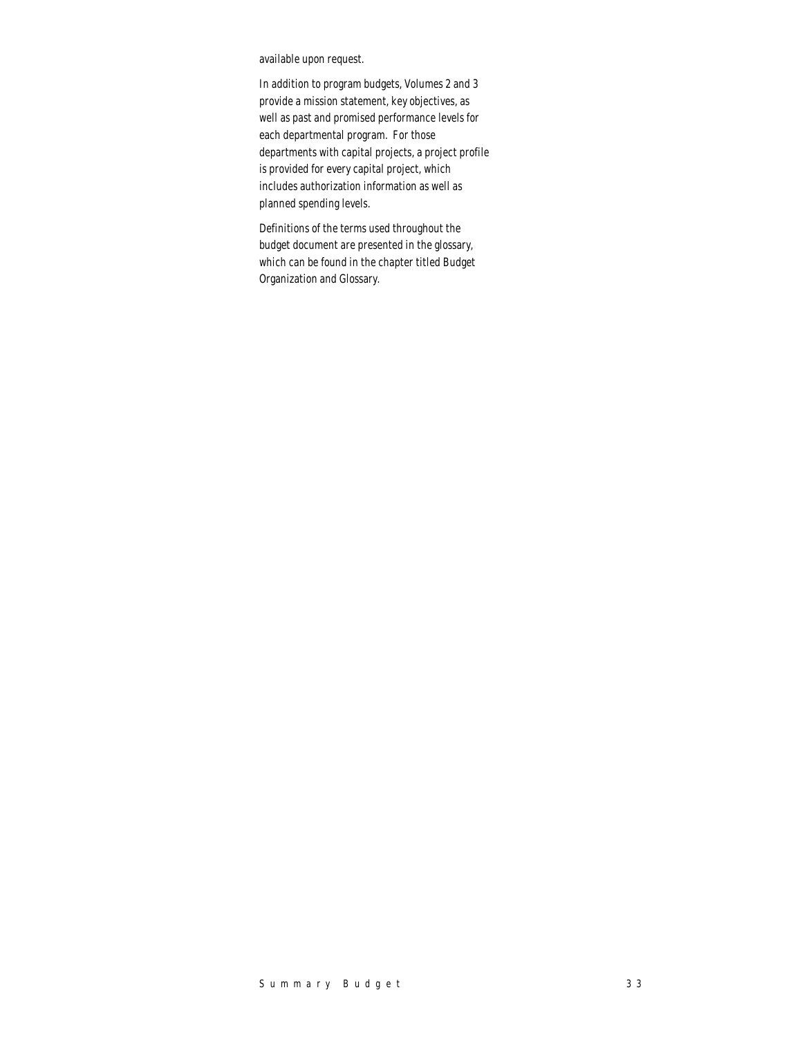available upon request.

In addition to program budgets, Volumes 2 and 3 provide a mission statement, key objectives, as well as past and promised performance levels for each departmental program. For those departments with capital projects, a project profile is provided for every capital project, which includes authorization information as well as planned spending levels.

Definitions of the terms used throughout the budget document are presented in the glossary, which can be found in the chapter titled Budget Organization and Glossary.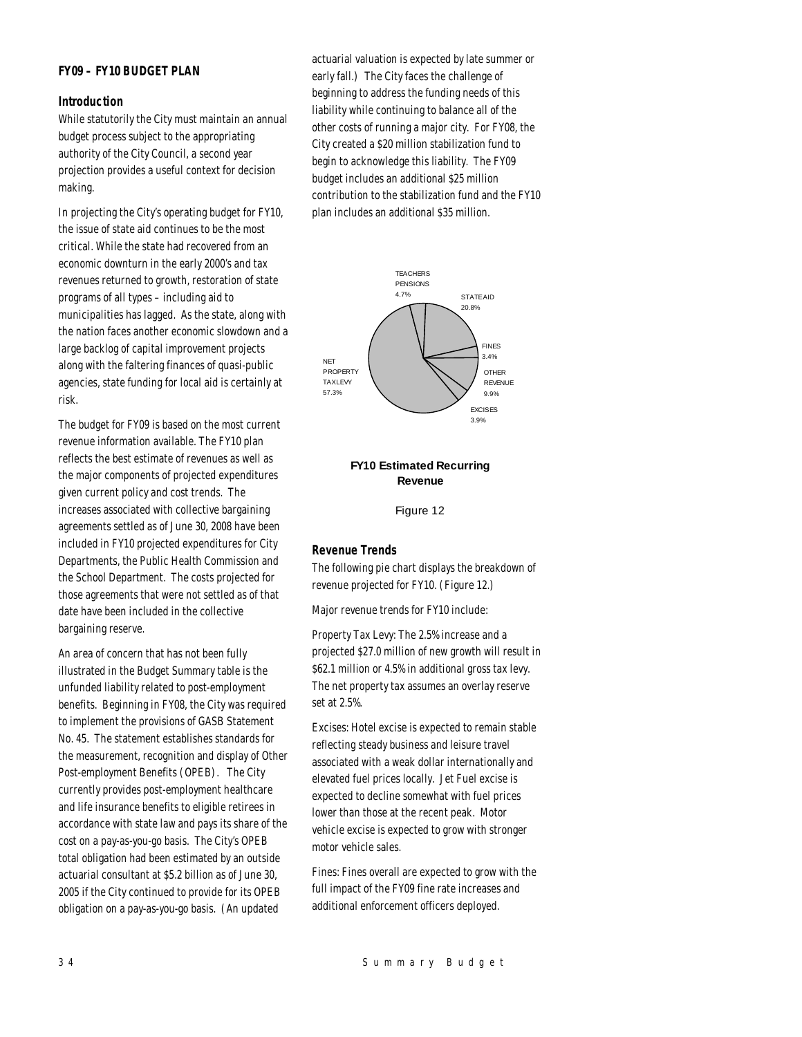## *FY09 – FY10 BUDGET PLAN*

## *Introduction*

While statutorily the City must maintain an annual budget process subject to the appropriating authority of the City Council, a second year projection provides a useful context for decision making.

In projecting the City's operating budget for FY10, the issue of state aid continues to be the most critical. While the state had recovered from an economic downturn in the early 2000's and tax revenues returned to growth, restoration of state programs of all types – including aid to municipalities has lagged. As the state, along with the nation faces another economic slowdown and a large backlog of capital improvement projects along with the faltering finances of quasi-public agencies, state funding for local aid is certainly at risk.

The budget for FY09 is based on the most current revenue information available. The FY10 plan reflects the best estimate of revenues as well as the major components of projected expenditures given current policy and cost trends. The increases associated with collective bargaining agreements settled as of June 30, 2008 have been included in FY10 projected expenditures for City Departments, the Public Health Commission and the School Department. The costs projected for those agreements that were not settled as of that date have been included in the collective bargaining reserve.

An area of concern that has not been fully illustrated in the Budget Summary table is the unfunded liability related to post-employment benefits. Beginning in FY08, the City was required to implement the provisions of GASB Statement No. 45. The statement establishes standards for the measurement, recognition and display of Other Post-employment Benefits (OPEB). The City currently provides post-employment healthcare and life insurance benefits to eligible retirees in accordance with state law and pays its share of the cost on a pay-as-you-go basis. The City's OPEB total obligation had been estimated by an outside actuarial consultant at \$5.2 billion as of June 30, 2005 if the City continued to provide for its OPEB obligation on a pay-as-you-go basis. (An updated

actuarial valuation is expected by late summer or early fall.) The City faces the challenge of beginning to address the funding needs of this liability while continuing to balance all of the other costs of running a major city. For FY08, the City created a \$20 million stabilization fund to begin to acknowledge this liability. The FY09 budget includes an additional \$25 million contribution to the stabilization fund and the FY10 plan includes an additional \$35 million.



## **FY10 Estimated Recurring Revenue**

Figure 12

## *Revenue Trends*

The following pie chart displays the breakdown of revenue projected for FY10. (Figure 12.)

Major revenue trends for FY10 include:

Property Tax Levy: The 2.5% increase and a projected \$27.0 million of new growth will result in \$62.1 million or 4.5% in additional gross tax levy. The net property tax assumes an overlay reserve set at 2.5%.

Excises: Hotel excise is expected to remain stable reflecting steady business and leisure travel associated with a weak dollar internationally and elevated fuel prices locally. Jet Fuel excise is expected to decline somewhat with fuel prices lower than those at the recent peak. Motor vehicle excise is expected to grow with stronger motor vehicle sales.

Fines: Fines overall are expected to grow with the full impact of the FY09 fine rate increases and additional enforcement officers deployed.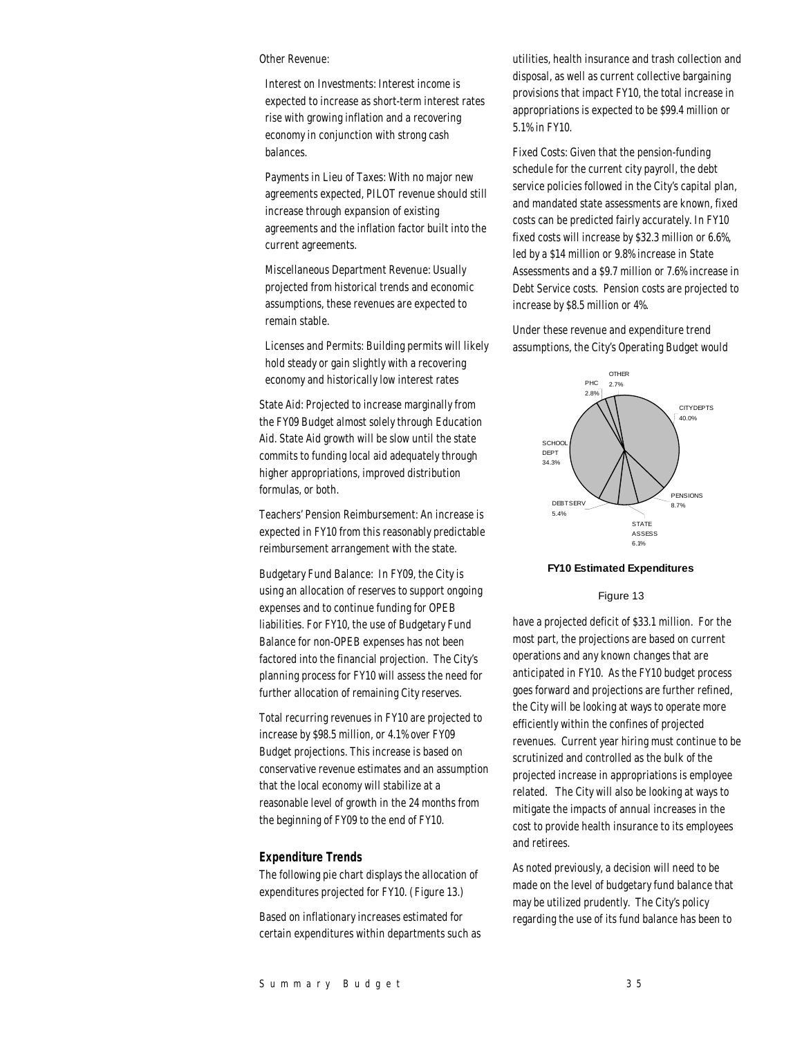#### Other Revenue:

Interest on Investments: Interest income is expected to increase as short-term interest rates rise with growing inflation and a recovering economy in conjunction with strong cash balances.

Payments in Lieu of Taxes: With no major new agreements expected, PILOT revenue should still increase through expansion of existing agreements and the inflation factor built into the current agreements.

Miscellaneous Department Revenue: Usually projected from historical trends and economic assumptions, these revenues are expected to remain stable.

Licenses and Permits: Building permits will likely hold steady or gain slightly with a recovering economy and historically low interest rates

State Aid: Projected to increase marginally from the FY09 Budget almost solely through Education Aid. State Aid growth will be slow until the state commits to funding local aid adequately through higher appropriations, improved distribution formulas, or both.

Teachers' Pension Reimbursement: An increase is expected in FY10 from this reasonably predictable reimbursement arrangement with the state.

Budgetary Fund Balance: In FY09, the City is using an allocation of reserves to support ongoing expenses and to continue funding for OPEB liabilities. For FY10, the use of Budgetary Fund Balance for non-OPEB expenses has not been factored into the financial projection. The City's planning process for FY10 will assess the need for further allocation of remaining City reserves.

Total recurring revenues in FY10 are projected to increase by \$98.5 million, or 4.1% over FY09 Budget projections. This increase is based on conservative revenue estimates and an assumption that the local economy will stabilize at a reasonable level of growth in the 24 months from the beginning of FY09 to the end of FY10.

## *Expenditure Trends*

The following pie chart displays the allocation of expenditures projected for FY10. (Figure 13.)

Based on inflationary increases estimated for certain expenditures within departments such as utilities, health insurance and trash collection and disposal, as well as current collective bargaining provisions that impact FY10, the total increase in appropriations is expected to be \$99.4 million or 5.1% in FY10.

Fixed Costs: Given that the pension-funding schedule for the current city payroll, the debt service policies followed in the City's capital plan, and mandated state assessments are known, fixed costs can be predicted fairly accurately. In FY10 fixed costs will increase by \$32.3 million or 6.6%, led by a \$14 million or 9.8% increase in State Assessments and a \$9.7 million or 7.6% increase in Debt Service costs. Pension costs are projected to increase by \$8.5 million or 4%.

Under these revenue and expenditure trend assumptions, the City's Operating Budget would



#### **FY10 Estimated Expenditures**

Figure 13

have a projected deficit of \$33.1 million. For the most part, the projections are based on current operations and any known changes that are anticipated in FY10. As the FY10 budget process goes forward and projections are further refined, the City will be looking at ways to operate more efficiently within the confines of projected revenues. Current year hiring must continue to be scrutinized and controlled as the bulk of the projected increase in appropriations is employee related. The City will also be looking at ways to mitigate the impacts of annual increases in the cost to provide health insurance to its employees and retirees.

As noted previously, a decision will need to be made on the level of budgetary fund balance that may be utilized prudently. The City's policy regarding the use of its fund balance has been to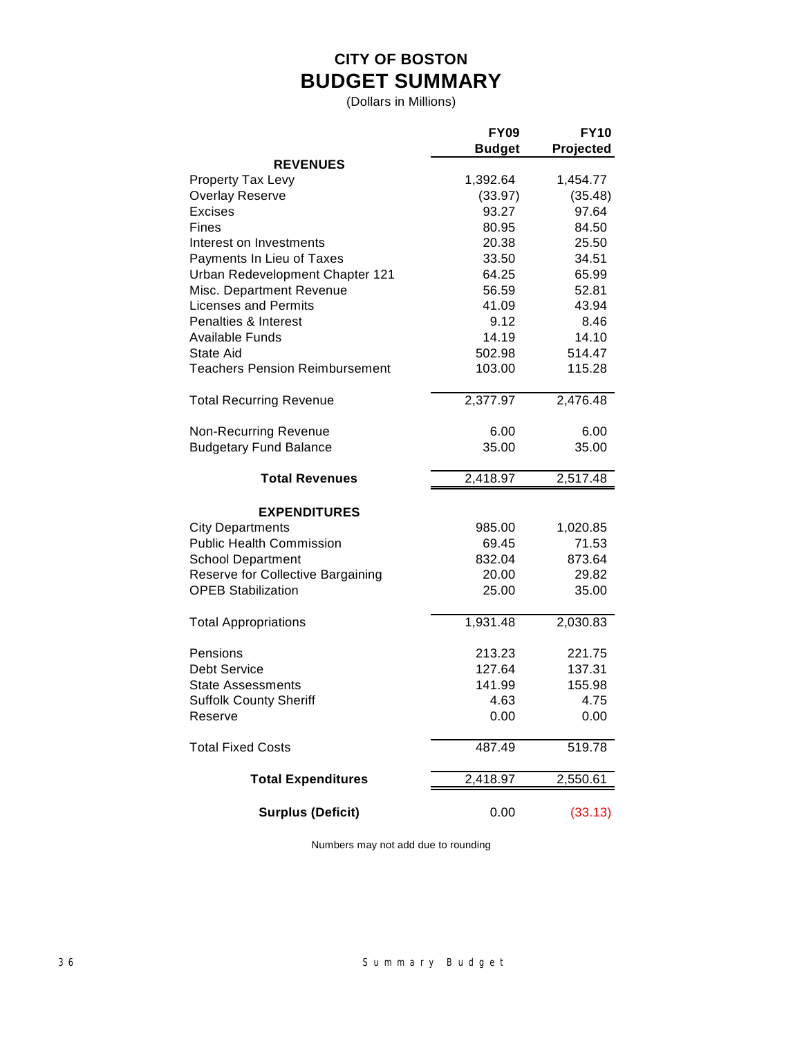# **CITY OF BOSTON BUDGET SUMMARY**

(Dollars in Millions)

|                                       | <b>FY09</b>   | <b>FY10</b> |
|---------------------------------------|---------------|-------------|
|                                       | <b>Budget</b> | Projected   |
| <b>REVENUES</b>                       |               |             |
| Property Tax Levy                     | 1,392.64      | 1,454.77    |
| <b>Overlay Reserve</b>                | (33.97)       | (35.48)     |
| <b>Excises</b>                        | 93.27         | 97.64       |
| Fines                                 | 80.95         | 84.50       |
| Interest on Investments               | 20.38         | 25.50       |
| Payments In Lieu of Taxes             | 33.50         | 34.51       |
| Urban Redevelopment Chapter 121       | 64.25         | 65.99       |
| Misc. Department Revenue              | 56.59         | 52.81       |
| <b>Licenses and Permits</b>           | 41.09         | 43.94       |
| Penalties & Interest                  | 9.12          | 8.46        |
| <b>Available Funds</b>                | 14.19         | 14.10       |
| <b>State Aid</b>                      | 502.98        | 514.47      |
| <b>Teachers Pension Reimbursement</b> | 103.00        | 115.28      |
| <b>Total Recurring Revenue</b>        | 2,377.97      | 2,476.48    |
| Non-Recurring Revenue                 | 6.00          | 6.00        |
| <b>Budgetary Fund Balance</b>         | 35.00         | 35.00       |
| <b>Total Revenues</b>                 | 2,418.97      | 2,517.48    |
| <b>EXPENDITURES</b>                   |               |             |
| <b>City Departments</b>               | 985.00        | 1,020.85    |
| <b>Public Health Commission</b>       | 69.45         | 71.53       |
| <b>School Department</b>              | 832.04        | 873.64      |
| Reserve for Collective Bargaining     | 20.00         | 29.82       |
| <b>OPEB Stabilization</b>             | 25.00         | 35.00       |
| <b>Total Appropriations</b>           | 1,931.48      | 2,030.83    |
| Pensions                              | 213.23        | 221.75      |
| <b>Debt Service</b>                   | 127.64        | 137.31      |
| State Assessments                     | 141.99        | 155.98      |
| <b>Suffolk County Sheriff</b>         | 4.63          | 4.75        |
| Reserve                               | 0.00          | 0.00        |
| <b>Total Fixed Costs</b>              | 487.49        | 519.78      |
| <b>Total Expenditures</b>             | 2,418.97      | 2,550.61    |
| <b>Surplus (Deficit)</b>              | 0.00          | (33.13)     |

Numbers may not add due to rounding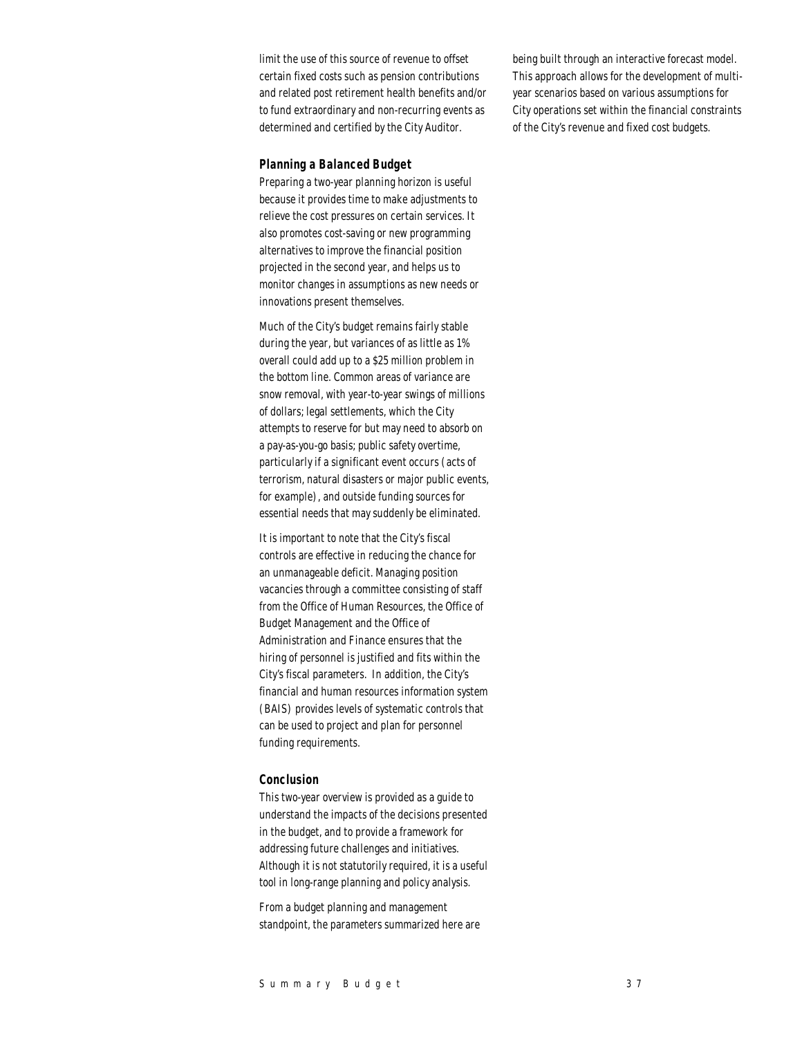limit the use of this source of revenue to offset certain fixed costs such as pension contributions and related post retirement health benefits and/or to fund extraordinary and non-recurring events as determined and certified by the City Auditor.

#### *Planning a Balanced Budget*

Preparing a two-year planning horizon is useful because it provides time to make adjustments to relieve the cost pressures on certain services. It also promotes cost-saving or new programming alternatives to improve the financial position projected in the second year, and helps us to monitor changes in assumptions as new needs or innovations present themselves.

Much of the City's budget remains fairly stable during the year, but variances of as little as 1% overall could add up to a \$25 million problem in the bottom line. Common areas of variance are snow removal, with year-to-year swings of millions of dollars; legal settlements, which the City attempts to reserve for but may need to absorb on a pay-as-you-go basis; public safety overtime, particularly if a significant event occurs (acts of terrorism, natural disasters or major public events, for example), and outside funding sources for essential needs that may suddenly be eliminated.

It is important to note that the City's fiscal controls are effective in reducing the chance for an unmanageable deficit. Managing position vacancies through a committee consisting of staff from the Office of Human Resources, the Office of Budget Management and the Office of Administration and Finance ensures that the hiring of personnel is justified and fits within the City's fiscal parameters. In addition, the City's financial and human resources information system (BAIS) provides levels of systematic controls that can be used to project and plan for personnel funding requirements.

#### *Conclusion*

This two-year overview is provided as a guide to understand the impacts of the decisions presented in the budget, and to provide a framework for addressing future challenges and initiatives. Although it is not statutorily required, it is a useful tool in long-range planning and policy analysis.

From a budget planning and management standpoint, the parameters summarized here are being built through an interactive forecast model. This approach allows for the development of multiyear scenarios based on various assumptions for City operations set within the financial constraints of the City's revenue and fixed cost budgets.